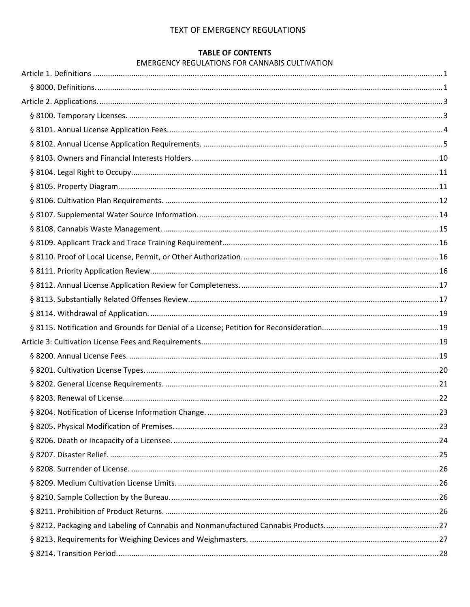# **TABLE OF CONTENTS**

| EMERGENCY REGULATIONS FOR CANNABIS CULTIVATION |  |  |  |
|------------------------------------------------|--|--|--|
|------------------------------------------------|--|--|--|

<span id="page-0-0"></span>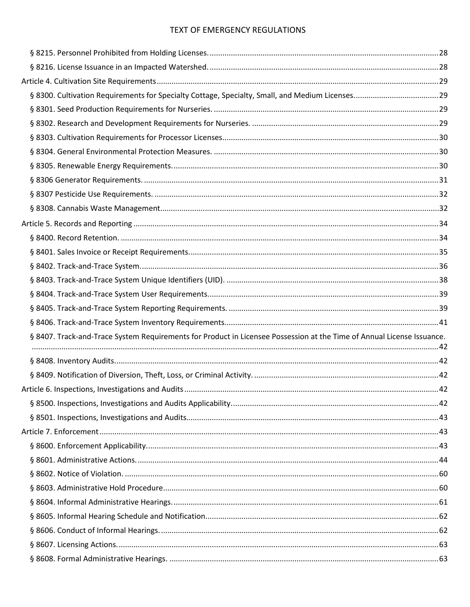| § 8407. Track-and-Trace System Requirements for Product in Licensee Possession at the Time of Annual License Issuance. |  |
|------------------------------------------------------------------------------------------------------------------------|--|
|                                                                                                                        |  |
|                                                                                                                        |  |
|                                                                                                                        |  |
|                                                                                                                        |  |
|                                                                                                                        |  |
|                                                                                                                        |  |
|                                                                                                                        |  |
|                                                                                                                        |  |
|                                                                                                                        |  |
|                                                                                                                        |  |
|                                                                                                                        |  |
|                                                                                                                        |  |
|                                                                                                                        |  |
|                                                                                                                        |  |
|                                                                                                                        |  |
|                                                                                                                        |  |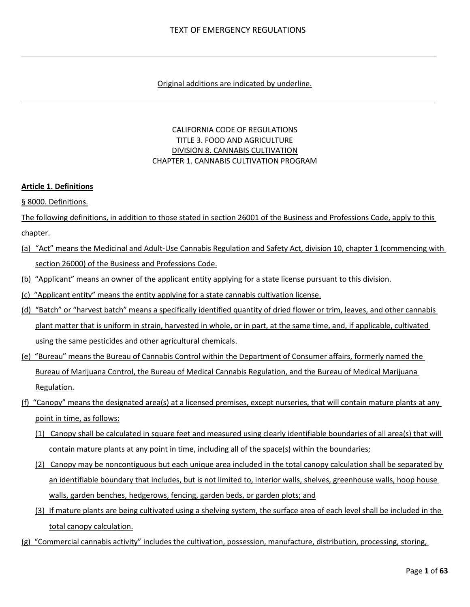#### Original additions are indicated by underline.

# CALIFORNIA CODE OF REGULATIONS TITLE 3. FOOD AND AGRICULTURE DIVISION 8. CANNABIS CULTIVATION CHAPTER 1. CANNABIS CULTIVATION PROGRAM

#### <span id="page-2-0"></span>**[Article 1. Definitions](#page-0-0)**

 $\overline{a}$ 

<span id="page-2-1"></span>[§ 8000. Definitions.](#page-0-0)

The following definitions, in addition to those stated in section 26001 of the Business and Professions Code, apply to this chapter.

- (a) "Act" means the Medicinal and Adult-Use Cannabis Regulation and Safety Act, division 10, chapter 1 (commencing with section 26000) of the Business and Professions Code.
- (b) "Applicant" means an owner of the applicant entity applying for a state license pursuant to this division.
- (c) "Applicant entity" means the entity applying for a state cannabis cultivation license.
- (d) "Batch" or "harvest batch" means a specifically identified quantity of dried flower or trim, leaves, and other cannabis plant matter that is uniform in strain, harvested in whole, or in part, at the same time, and, if applicable, cultivated using the same pesticides and other agricultural chemicals.
- (e) "Bureau" means the Bureau of Cannabis Control within the Department of Consumer affairs, formerly named the Bureau of Marijuana Control, the Bureau of Medical Cannabis Regulation, and the Bureau of Medical Marijuana Regulation.
- (f) "Canopy" means the designated area(s) at a licensed premises, except nurseries, that will contain mature plants at any point in time, as follows:
	- (1) Canopy shall be calculated in square feet and measured using clearly identifiable boundaries of all area(s) that will contain mature plants at any point in time, including all of the space(s) within the boundaries;
	- (2) Canopy may be noncontiguous but each unique area included in the total canopy calculation shall be separated by an identifiable boundary that includes, but is not limited to, interior walls, shelves, greenhouse walls, hoop house walls, garden benches, hedgerows, fencing, garden beds, or garden plots; and
	- (3) If mature plants are being cultivated using a shelving system, the surface area of each level shall be included in the total canopy calculation.
- (g) "Commercial cannabis activity" includes the cultivation, possession, manufacture, distribution, processing, storing,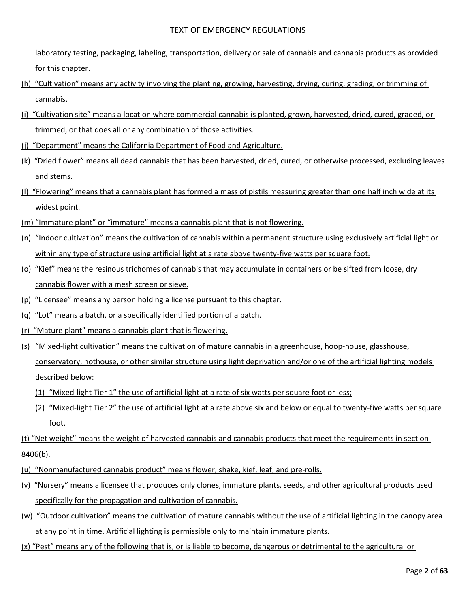laboratory testing, packaging, labeling, transportation, delivery or sale of cannabis and cannabis products as provided for this chapter.

- (h) "Cultivation" means any activity involving the planting, growing, harvesting, drying, curing, grading, or trimming of cannabis.
- (i) "Cultivation site" means a location where commercial cannabis is planted, grown, harvested, dried, cured, graded, or trimmed, or that does all or any combination of those activities.
- (j) "Department" means the California Department of Food and Agriculture.
- (k) "Dried flower" means all dead cannabis that has been harvested, dried, cured, or otherwise processed, excluding leaves and stems.
- (l) "Flowering" means that a cannabis plant has formed a mass of pistils measuring greater than one half inch wide at its widest point.
- (m) "Immature plant" or "immature" means a cannabis plant that is not flowering.
- (n) "Indoor cultivation" means the cultivation of cannabis within a permanent structure using exclusively artificial light or within any type of structure using artificial light at a rate above twenty-five watts per square foot.
- (o) "Kief" means the resinous trichomes of cannabis that may accumulate in containers or be sifted from loose, dry cannabis flower with a mesh screen or sieve.
- (p) "Licensee" means any person holding a license pursuant to this chapter.
- (q) "Lot" means a batch, or a specifically identified portion of a batch.
- (r) "Mature plant" means a cannabis plant that is flowering.
- (s) "Mixed-light cultivation" means the cultivation of mature cannabis in a greenhouse, hoop-house, glasshouse, conservatory, hothouse, or other similar structure using light deprivation and/or one of the artificial lighting models described below:
	- (1) "Mixed-light Tier 1" the use of artificial light at a rate of six watts per square foot or less;
	- (2) "Mixed-light Tier 2" the use of artificial light at a rate above six and below or equal to twenty-five watts per square foot.

(t) "Net weight" means the weight of harvested cannabis and cannabis products that meet the requirements in section 8406(b).

- (u) "Nonmanufactured cannabis product" means flower, shake, kief, leaf, and pre-rolls.
- (v) "Nursery" means a licensee that produces only clones, immature plants, seeds, and other agricultural products used specifically for the propagation and cultivation of cannabis.
- (w) "Outdoor cultivation" means the cultivation of mature cannabis without the use of artificial lighting in the canopy area at any point in time. Artificial lighting is permissible only to maintain immature plants.
- (x) "Pest" means any of the following that is, or is liable to become, dangerous or detrimental to the agricultural or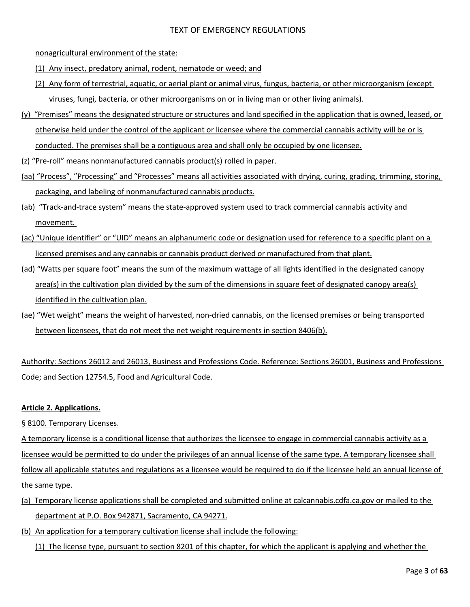nonagricultural environment of the state:

- (1) Any insect, predatory animal, rodent, nematode or weed; and
- (2) Any form of terrestrial, aquatic, or aerial plant or animal virus, fungus, bacteria, or other microorganism (except viruses, fungi, bacteria, or other microorganisms on or in living man or other living animals).
- (y) "Premises" means the designated structure or structures and land specified in the application that is owned, leased, or otherwise held under the control of the applicant or licensee where the commercial cannabis activity will be or is conducted. The premises shall be a contiguous area and shall only be occupied by one licensee.
- (z) "Pre-roll" means nonmanufactured cannabis product(s) rolled in paper.
- (aa) "Process", "Processing" and "Processes" means all activities associated with drying, curing, grading, trimming, storing, packaging, and labeling of nonmanufactured cannabis products.
- (ab) "Track-and-trace system" means the state-approved system used to track commercial cannabis activity and movement.
- (ac) "Unique identifier" or "UID" means an alphanumeric code or designation used for reference to a specific plant on a licensed premises and any cannabis or cannabis product derived or manufactured from that plant.
- (ad) "Watts per square foot" means the sum of the maximum wattage of all lights identified in the designated canopy area(s) in the cultivation plan divided by the sum of the dimensions in square feet of designated canopy area(s) identified in the cultivation plan.
- (ae) "Wet weight" means the weight of harvested, non-dried cannabis, on the licensed premises or being transported between licensees, that do not meet the net weight requirements in section 8406(b).

Authority: Sections 26012 and 26013, Business and Professions Code. Reference: Sections 26001, Business and Professions Code; and Section 12754.5, Food and Agricultural Code.

# <span id="page-4-0"></span>**Article 2. Applications[.](#page-0-0)**

<span id="page-4-1"></span>[§ 8100. Temporary Licenses.](#page-0-0)

A temporary license is a conditional license that authorizes the licensee to engage in commercial cannabis activity as a licensee would be permitted to do under the privileges of an annual license of the same type. A temporary licensee shall follow all applicable statutes and regulations as a licensee would be required to do if the licensee held an annual license of the same type.

- (a) Temporary license applications shall be completed and submitted online at calcannabis.cdfa.ca.gov or mailed to the department at P.O. Box 942871, Sacramento, CA 94271.
- (b) An application for a temporary cultivation license shall include the following:
	- (1) The license type, pursuant to section 8201 of this chapter, for which the applicant is applying and whether the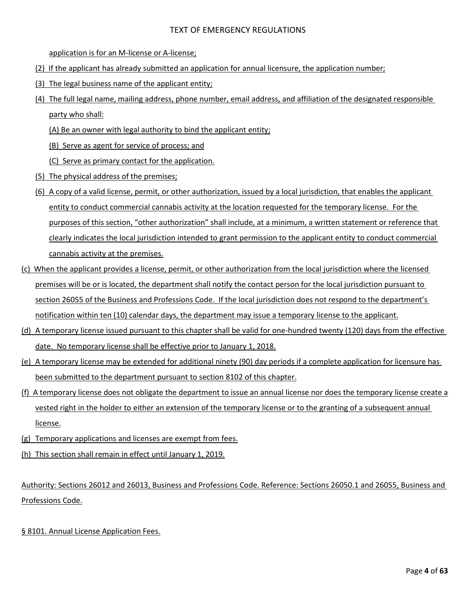application is for an M-license or A-license;

- (2) If the applicant has already submitted an application for annual licensure, the application number;
- (3) The legal business name of the applicant entity;
- (4) The full legal name, mailing address, phone number, email address, and affiliation of the designated responsible party who shall:
	- (A) Be an owner with legal authority to bind the applicant entity;
	- (B) Serve as agent for service of process; and
	- (C) Serve as primary contact for the application.
- (5) The physical address of the premises;
- (6) A copy of a valid license, permit, or other authorization, issued by a local jurisdiction, that enables the applicant entity to conduct commercial cannabis activity at the location requested for the temporary license. For the purposes of this section, "other authorization" shall include, at a minimum, a written statement or reference that clearly indicates the local jurisdiction intended to grant permission to the applicant entity to conduct commercial cannabis activity at the premises.
- (c) When the applicant provides a license, permit, or other authorization from the local jurisdiction where the licensed premises will be or is located, the department shall notify the contact person for the local jurisdiction pursuant to section 26055 of the Business and Professions Code. If the local jurisdiction does not respond to the department's notification within ten (10) calendar days, the department may issue a temporary license to the applicant.
- (d) A temporary license issued pursuant to this chapter shall be valid for one-hundred twenty (120) days from the effective date. No temporary license shall be effective prior to January 1, 2018.
- (e) A temporary license may be extended for additional ninety (90) day periods if a complete application for licensure has been submitted to the department pursuant to section 8102 of this chapter.
- (f) A temporary license does not obligate the department to issue an annual license nor does the temporary license create a vested right in the holder to either an extension of the temporary license or to the granting of a subsequent annual license.
- (g) Temporary applications and licenses are exempt from fees.
- (h) This section shall remain in effect until January 1, 2019.

Authority: Sections 26012 and 26013, Business and Professions Code. Reference: Sections 26050.1 and 26055, Business and Professions Code.

#### <span id="page-5-0"></span>[§ 8101. Annual License Application Fees.](#page-0-0)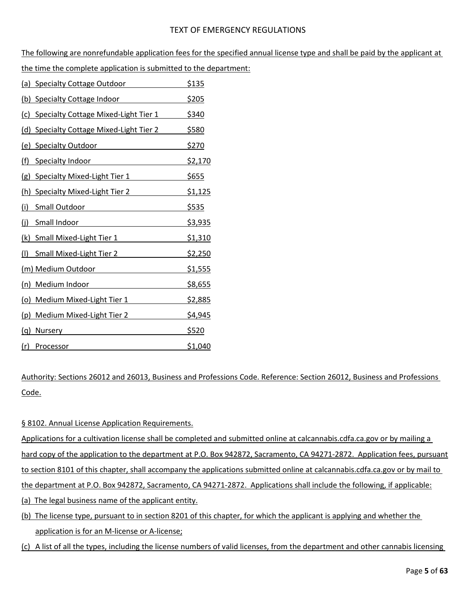The following are nonrefundable application fees for the specified annual license type and shall be paid by the applicant at

the time the complete application is submitted to the department:

| (a) Specialty Cottage Outdoor                  | \$135          |
|------------------------------------------------|----------------|
| (b) Specialty Cottage Indoor 5205              |                |
| (c) Specialty Cottage Mixed-Light Tier 1 \$340 |                |
| (d) Specialty Cottage Mixed-Light Tier 2 \$580 |                |
| (e) Specialty Outdoor                          | \$270          |
| (f) Specialty Indoor                           | <u>\$2,170</u> |
| (g) Specialty Mixed-Light Tier 1               | \$655          |
| (h) Specialty Mixed-Light Tier 2 \$1,125       |                |
| (i) Small Outdoor (i) Small Outdoor            | <u>\$535</u>   |
| (j) Small Indoor (j) Small Indoor              | <u>\$3,935</u> |
| (k) Small Mixed-Light Tier 1 51,310            |                |
| (I) Small Mixed-Light Tier 2 52,250            |                |
| (m) Medium Outdoor 51,555                      |                |
| (n) Medium Indoor (n) Medium Indoor            | <u>\$8,655</u> |
| (o) Medium Mixed-Light Tier 1 52,885           |                |
| (p) Medium Mixed-Light Tier 2 54,945           |                |
| (q) Nursery <b>Example 2018</b>                | <u>\$520</u>   |
| (r) Processor                                  | \$1,040        |

Authority: Sections 26012 and 26013, Business and Professions Code. Reference: Section 26012, Business and Professions Code.

<span id="page-6-0"></span>[§ 8102. Annual License Application Requirements.](#page-0-0)

Applications for a cultivation license shall be completed and submitted online at calcannabis.cdfa.ca.gov or by mailing a hard copy of the application to the department at P.O. Box 942872, Sacramento, CA 94271-2872. Application fees, pursuant to section 8101 of this chapter, shall accompany the applications submitted online at calcannabis.cdfa.ca.gov or by mail to the department at P.O. Box 942872, Sacramento, CA 94271-2872. Applications shall include the following, if applicable:

- (a) The legal business name of the applicant entity.
- (b) The license type, pursuant to in section 8201 of this chapter, for which the applicant is applying and whether the application is for an M-license or A-license;
- (c) A list of all the types, including the license numbers of valid licenses, from the department and other cannabis licensing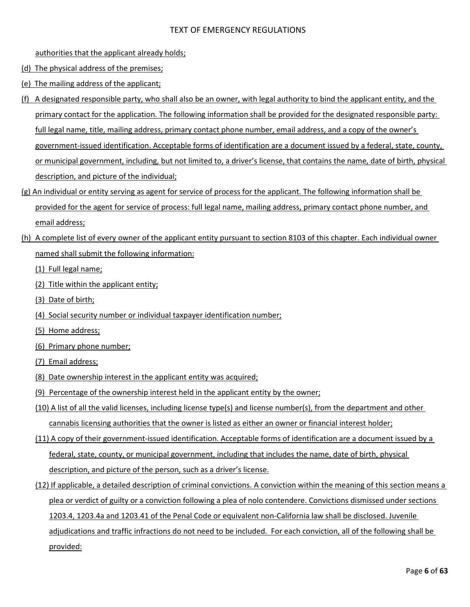authorities that the applicant already holds;

- (d) The physical address of the premises;
- (e) The mailing address of the applicant;
- (f) A designated responsible party, who shall also be an owner, with legal authority to bind the applicant entity, and the primary contact for the application. The following information shall be provided for the designated responsible party: full legal name, title, mailing address, primary contact phone number, email address, and a copy of the owner's government-issued identification. Acceptable forms of identification are a document issued by a federal, state, county, or municipal government, including, but not limited to, a driver's license, that contains the name, date of birth, physical description, and picture of the individual;
- (g) An individual or entity serving as agent for service of process for the applicant. The following information shall be provided for the agent for service of process: full legal name, mailing address, primary contact phone number, and email address;
- (h) A complete list of every owner of the applicant entity pursuant to section 8103 of this chapter. Each individual owner named shall submit the following information:
	- (1) Full legal name;
	- (2) Title within the applicant entity;
	- (3) Date of birth;
	- (4) Social security number or individual taxpayer identification number;
	- (5) Home address;
	- (6) Primary phone number;
	- (7) Email address;
	- (8) Date ownership interest in the applicant entity was acquired;
	- (9) Percentage of the ownership interest held in the applicant entity by the owner;
	- (10) A list of all the valid licenses, including license type(s) and license number(s), from the department and other cannabis licensing authorities that the owner is listed as either an owner or financial interest holder;
	- (11) A copy of their government-issued identification. Acceptable forms of identification are a document issued by a federal, state, county, or municipal government, including that includes the name, date of birth, physical description, and picture of the person, such as a driver's license.
	- (12) If applicable, a detailed description of criminal convictions. A conviction within the meaning of this section means a plea or verdict of guilty or a conviction following a plea of nolo contendere. Convictions dismissed under sections 1203.4, 1203.4a and 1203.41 of the Penal Code or equivalent non-California law shall be disclosed. Juvenile adjudications and traffic infractions do not need to be included. For each conviction, all of the following shall be provided: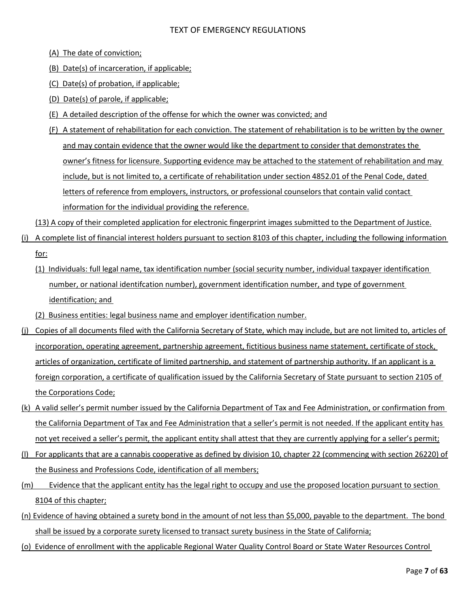- (A) The date of conviction;
- (B) Date(s) of incarceration, if applicable;
- (C) Date(s) of probation, if applicable;
- (D) Date(s) of parole, if applicable;
- (E) A detailed description of the offense for which the owner was convicted; and
- (F) A statement of rehabilitation for each conviction. The statement of rehabilitation is to be written by the owner and may contain evidence that the owner would like the department to consider that demonstrates the owner's fitness for licensure. Supporting evidence may be attached to the statement of rehabilitation and may include, but is not limited to, a certificate of rehabilitation under section 4852.01 of the Penal Code, dated letters of reference from employers, instructors, or professional counselors that contain valid contact information for the individual providing the reference.
- (13) A copy of their completed application for electronic fingerprint images submitted to the Department of Justice.
- (i) A complete list of financial interest holders pursuant to section 8103 of this chapter, including the following information for:
	- (1) Individuals: full legal name, tax identification number (social security number, individual taxpayer identification number, or national identifcation number), government identification number, and type of government identification; and
	- (2) Business entities: legal business name and employer identification number.
- (j) Copies of all documents filed with the California Secretary of State, which may include, but are not limited to, articles of incorporation, operating agreement, partnership agreement, fictitious business name statement, certificate of stock, articles of organization, certificate of limited partnership, and statement of partnership authority. If an applicant is a foreign corporation, a certificate of qualification issued by the California Secretary of State pursuant to section 2105 of the Corporations Code;
- (k) A valid seller's permit number issued by the California Department of Tax and Fee Administration, or confirmation from the California Department of Tax and Fee Administration that a seller's permit is not needed. If the applicant entity has not yet received a seller's permit, the applicant entity shall attest that they are currently applying for a seller's permit;
- (l) For applicants that are a cannabis cooperative as defined by division 10, chapter 22 (commencing with section 26220) of the Business and Professions Code, identification of all members;
- (m) Evidence that the applicant entity has the legal right to occupy and use the proposed location pursuant to section 8104 of this chapter;
- (n) Evidence of having obtained a surety bond in the amount of not less than \$5,000, payable to the department. The bond shall be issued by a corporate surety licensed to transact surety business in the State of California;
- (o) Evidence of enrollment with the applicable Regional Water Quality Control Board or State Water Resources Control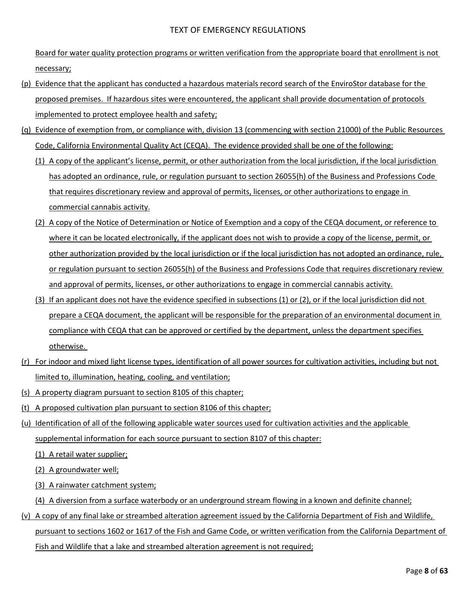Board for water quality protection programs or written verification from the appropriate board that enrollment is not necessary;

- (p) Evidence that the applicant has conducted a hazardous materials record search of the EnviroStor database for the proposed premises. If hazardous sites were encountered, the applicant shall provide documentation of protocols implemented to protect employee health and safety;
- (q) Evidence of exemption from, or compliance with, division 13 (commencing with section 21000) of the Public Resources Code, California Environmental Quality Act (CEQA). The evidence provided shall be one of the following:
	- (1) A copy of the applicant's license, permit, or other authorization from the local jurisdiction, if the local jurisdiction has adopted an ordinance, rule, or regulation pursuant to section 26055(h) of the Business and Professions Code that requires discretionary review and approval of permits, licenses, or other authorizations to engage in commercial cannabis activity.
	- (2) A copy of the Notice of Determination or Notice of Exemption and a copy of the CEQA document, or reference to where it can be located electronically, if the applicant does not wish to provide a copy of the license, permit, or other authorization provided by the local jurisdiction or if the local jurisdiction has not adopted an ordinance, rule, or regulation pursuant to section 26055(h) of the Business and Professions Code that requires discretionary review and approval of permits, licenses, or other authorizations to engage in commercial cannabis activity.
	- (3) If an applicant does not have the evidence specified in subsections (1) or (2), or if the local jurisdiction did not prepare a CEQA document, the applicant will be responsible for the preparation of an environmental document in compliance with CEQA that can be approved or certified by the department, unless the department specifies otherwise.
- (r) For indoor and mixed light license types, identification of all power sources for cultivation activities, including but not limited to, illumination, heating, cooling, and ventilation;
- (s) A property diagram pursuant to section 8105 of this chapter;
- (t) A proposed cultivation plan pursuant to section 8106 of this chapter;
- (u) Identification of all of the following applicable water sources used for cultivation activities and the applicable supplemental information for each source pursuant to section 8107 of this chapter:
	- (1) A retail water supplier;
	- (2) A groundwater well;
	- (3) A rainwater catchment system;
	- (4) A diversion from a surface waterbody or an underground stream flowing in a known and definite channel;
- (v) A copy of any final lake or streambed alteration agreement issued by the California Department of Fish and Wildlife, pursuant to sections 1602 or 1617 of the Fish and Game Code, or written verification from the California Department of Fish and Wildlife that a lake and streambed alteration agreement is not required;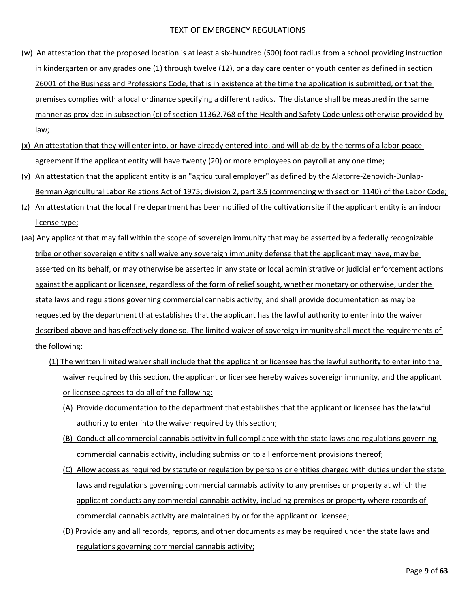- (w) An attestation that the proposed location is at least a six-hundred (600) foot radius from a school providing instruction in kindergarten or any grades one (1) through twelve (12), or a day care center or youth center as defined in section 26001 of the Business and Professions Code, that is in existence at the time the application is submitted, or that the premises complies with a local ordinance specifying a different radius. The distance shall be measured in the same manner as provided in subsection (c) of section 11362.768 of the Health and Safety Code unless otherwise provided by law;
- (x) An attestation that they will enter into, or have already entered into, and will abide by the terms of a labor peace agreement if the applicant entity will have twenty (20) or more employees on payroll at any one time;
- (y) An attestation that the applicant entity is an "agricultural employer" as defined by the Alatorre-Zenovich-Dunlap-Berman Agricultural Labor Relations Act of 1975; division 2, part 3.5 (commencing with section 1140) of the Labor Code;
- (z) An attestation that the local fire department has been notified of the cultivation site if the applicant entity is an indoor license type;
- (aa) Any applicant that may fall within the scope of sovereign immunity that may be asserted by a federally recognizable tribe or other sovereign entity shall waive any sovereign immunity defense that the applicant may have, may be asserted on its behalf, or may otherwise be asserted in any state or local administrative or judicial enforcement actions against the applicant or licensee, regardless of the form of relief sought, whether monetary or otherwise, under the state laws and regulations governing commercial cannabis activity, and shall provide documentation as may be requested by the department that establishes that the applicant has the lawful authority to enter into the waiver described above and has effectively done so. The limited waiver of sovereign immunity shall meet the requirements of the following:
	- (1) The written limited waiver shall include that the applicant or licensee has the lawful authority to enter into the waiver required by this section, the applicant or licensee hereby waives sovereign immunity, and the applicant or licensee agrees to do all of the following:
		- (A) Provide documentation to the department that establishes that the applicant or licensee has the lawful authority to enter into the waiver required by this section;
		- (B) Conduct all commercial cannabis activity in full compliance with the state laws and regulations governing commercial cannabis activity, including submission to all enforcement provisions thereof;
		- (C) Allow access as required by statute or regulation by persons or entities charged with duties under the state laws and regulations governing commercial cannabis activity to any premises or property at which the applicant conducts any commercial cannabis activity, including premises or property where records of commercial cannabis activity are maintained by or for the applicant or licensee;
		- (D) Provide any and all records, reports, and other documents as may be required under the state laws and regulations governing commercial cannabis activity;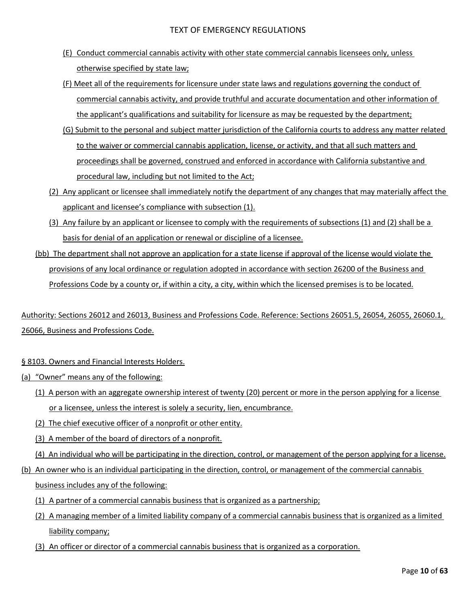- (E) Conduct commercial cannabis activity with other state commercial cannabis licensees only, unless otherwise specified by state law;
- (F) Meet all of the requirements for licensure under state laws and regulations governing the conduct of commercial cannabis activity, and provide truthful and accurate documentation and other information of the applicant's qualifications and suitability for licensure as may be requested by the department;
- (G) Submit to the personal and subject matter jurisdiction of the California courts to address any matter related to the waiver or commercial cannabis application, license, or activity, and that all such matters and proceedings shall be governed, construed and enforced in accordance with California substantive and procedural law, including but not limited to the Act;
- (2) Any applicant or licensee shall immediately notify the department of any changes that may materially affect the applicant and licensee's compliance with subsection (1).
- (3) Any failure by an applicant or licensee to comply with the requirements of subsections (1) and (2) shall be a basis for denial of an application or renewal or discipline of a licensee.
- (bb) The department shall not approve an application for a state license if approval of the license would violate the provisions of any local ordinance or regulation adopted in accordance with section 26200 of the Business and Professions Code by a county or, if within a city, a city, within which the licensed premises is to be located.

Authority: Sections 26012 and 26013, Business and Professions Code. Reference: Sections 26051.5, 26054, 26055, 26060.1, 26066, Business and Professions Code.

# <span id="page-11-0"></span>§ 8103. [Owners and Financial Interests Holders.](#page-0-0)

- (a) "Owner" means any of the following:
	- (1) A person with an aggregate ownership interest of twenty (20) percent or more in the person applying for a license or a licensee, unless the interest is solely a security, lien, encumbrance.
	- (2) The chief executive officer of a nonprofit or other entity.
	- (3) A member of the board of directors of a nonprofit.
	- (4) An individual who will be participating in the direction, control, or management of the person applying for a license.
- (b) An owner who is an individual participating in the direction, control, or management of the commercial cannabis

business includes any of the following:

- (1) A partner of a commercial cannabis business that is organized as a partnership;
- (2) A managing member of a limited liability company of a commercial cannabis business that is organized as a limited liability company;
- (3) An officer or director of a commercial cannabis business that is organized as a corporation.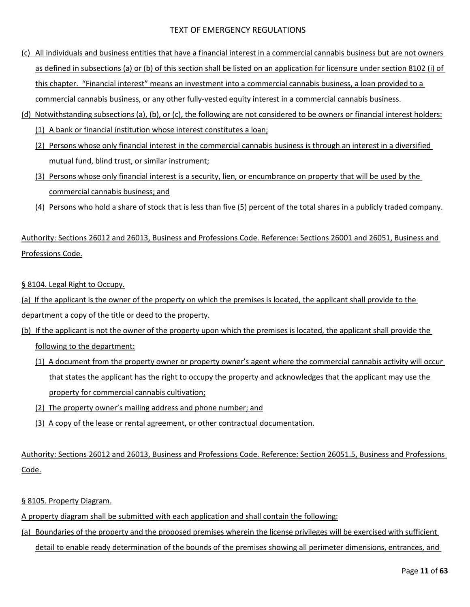- (c) All individuals and business entities that have a financial interest in a commercial cannabis business but are not owners as defined in subsections (a) or (b) of this section shall be listed on an application for licensure under section 8102 (i) of this chapter. "Financial interest" means an investment into a commercial cannabis business, a loan provided to a commercial cannabis business, or any other fully-vested equity interest in a commercial cannabis business.
- (d) Notwithstanding subsections (a), (b), or (c), the following are not considered to be owners or financial interest holders:
	- (1) A bank or financial institution whose interest constitutes a loan;
	- (2) Persons whose only financial interest in the commercial cannabis business is through an interest in a diversified mutual fund, blind trust, or similar instrument;
	- (3) Persons whose only financial interest is a security, lien, or encumbrance on property that will be used by the commercial cannabis business; and
	- (4) Persons who hold a share of stock that is less than five (5) percent of the total shares in a publicly traded company.

# Authority: Sections 26012 and 26013, Business and Professions Code. Reference: Sections 26001 and 26051, Business and Professions Code.

<span id="page-12-0"></span>[§ 8104. Legal Right to Occupy.](#page-0-0)

- (a) If the applicant is the owner of the property on which the premises is located, the applicant shall provide to the department a copy of the title or deed to the property.
- (b) If the applicant is not the owner of the property upon which the premises is located, the applicant shall provide the following to the department:
	- (1) A document from the property owner or property owner's agent where the commercial cannabis activity will occur that states the applicant has the right to occupy the property and acknowledges that the applicant may use the property for commercial cannabis cultivation;
	- (2) The property owner's mailing address and phone number; and
	- (3) A copy of the lease or rental agreement, or other contractual documentation.

Authority: Sections 26012 and 26013, Business and Professions Code. Reference: Section 26051.5, Business and Professions Code.

<span id="page-12-1"></span>[§ 8105. Property Diagram.](#page-0-0)

A property diagram shall be submitted with each application and shall contain the following:

(a) Boundaries of the property and the proposed premises wherein the license privileges will be exercised with sufficient detail to enable ready determination of the bounds of the premises showing all perimeter dimensions, entrances, and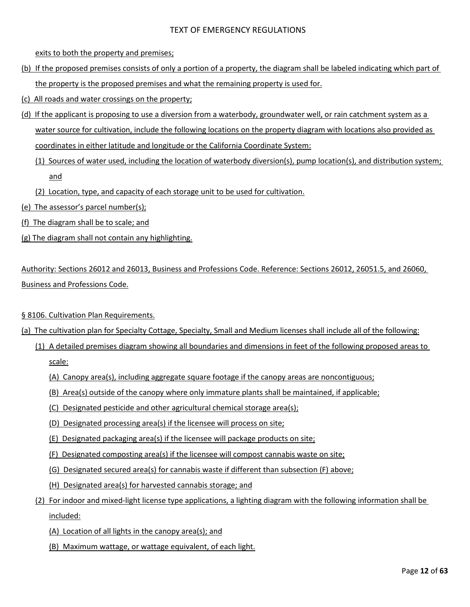exits to both the property and premises;

- (b) If the proposed premises consists of only a portion of a property, the diagram shall be labeled indicating which part of the property is the proposed premises and what the remaining property is used for.
- (c) All roads and water crossings on the property;
- (d) If the applicant is proposing to use a diversion from a waterbody, groundwater well, or rain catchment system as a water source for cultivation, include the following locations on the property diagram with locations also provided as coordinates in either latitude and longitude or the California Coordinate System:
	- (1) Sources of water used, including the location of waterbody diversion(s), pump location(s), and distribution system; and
	- (2) Location, type, and capacity of each storage unit to be used for cultivation.
- (e) The assessor's parcel number(s);
- (f) The diagram shall be to scale; and
- (g) The diagram shall not contain any highlighting.

Authority: Sections 26012 and 26013, Business and Professions Code. Reference: Sections 26012, 26051.5, and 26060, Business and Professions Code.

#### <span id="page-13-0"></span>[§ 8106. Cultivation Plan Requirements.](#page-0-0)

- (a) The cultivation plan for Specialty Cottage, Specialty, Small and Medium licenses shall include all of the following:
	- (1) A detailed premises diagram showing all boundaries and dimensions in feet of the following proposed areas to scale:
		- (A) Canopy area(s), including aggregate square footage if the canopy areas are noncontiguous;
		- (B) Area(s) outside of the canopy where only immature plants shall be maintained, if applicable;
		- (C) Designated pesticide and other agricultural chemical storage area(s);
		- (D) Designated processing area(s) if the licensee will process on site;
		- (E) Designated packaging area(s) if the licensee will package products on site;
		- (F) Designated composting area(s) if the licensee will compost cannabis waste on site;
		- (G) Designated secured area(s) for cannabis waste if different than subsection (F) above;
		- (H) Designated area(s) for harvested cannabis storage; and
	- (2) For indoor and mixed-light license type applications, a lighting diagram with the following information shall be included:
		- (A) Location of all lights in the canopy area(s); and
		- (B) Maximum wattage, or wattage equivalent, of each light.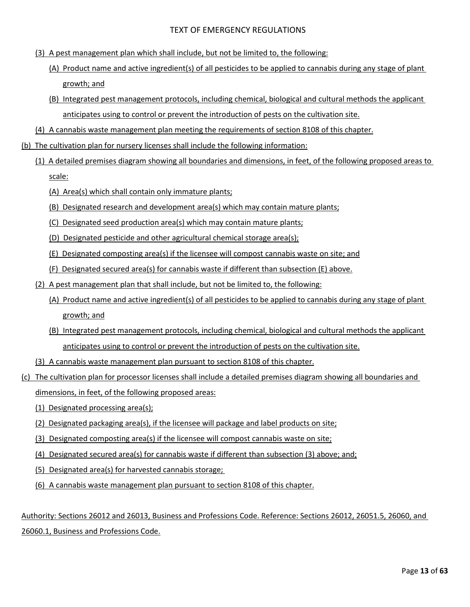- (3) A pest management plan which shall include, but not be limited to, the following:
	- (A) Product name and active ingredient(s) of all pesticides to be applied to cannabis during any stage of plant growth; and
	- (B) Integrated pest management protocols, including chemical, biological and cultural methods the applicant anticipates using to control or prevent the introduction of pests on the cultivation site.
- (4) A cannabis waste management plan meeting the requirements of section 8108 of this chapter.
- (b) The cultivation plan for nursery licenses shall include the following information:
	- (1) A detailed premises diagram showing all boundaries and dimensions, in feet, of the following proposed areas to scale:
		- (A) Area(s) which shall contain only immature plants;
		- (B) Designated research and development area(s) which may contain mature plants;
		- (C) Designated seed production area(s) which may contain mature plants;
		- (D) Designated pesticide and other agricultural chemical storage area(s);
		- (E) Designated composting area(s) if the licensee will compost cannabis waste on site; and
		- (F) Designated secured area(s) for cannabis waste if different than subsection (E) above.
	- (2) A pest management plan that shall include, but not be limited to, the following:
		- (A) Product name and active ingredient(s) of all pesticides to be applied to cannabis during any stage of plant growth; and
		- (B) Integrated pest management protocols, including chemical, biological and cultural methods the applicant anticipates using to control or prevent the introduction of pests on the cultivation site.
	- (3) A cannabis waste management plan pursuant to section 8108 of this chapter.
- (c) The cultivation plan for processor licenses shall include a detailed premises diagram showing all boundaries and dimensions, in feet, of the following proposed areas:
	- (1) Designated processing area(s);
	- (2) Designated packaging area(s), if the licensee will package and label products on site;
	- (3) Designated composting area(s) if the licensee will compost cannabis waste on site;
	- (4) Designated secured area(s) for cannabis waste if different than subsection (3) above; and;
	- (5) Designated area(s) for harvested cannabis storage;
	- (6) A cannabis waste management plan pursuant to section 8108 of this chapter.

Authority: Sections 26012 and 26013, Business and Professions Code. Reference: Sections 26012, 26051.5, 26060, and 26060.1, Business and Professions Code.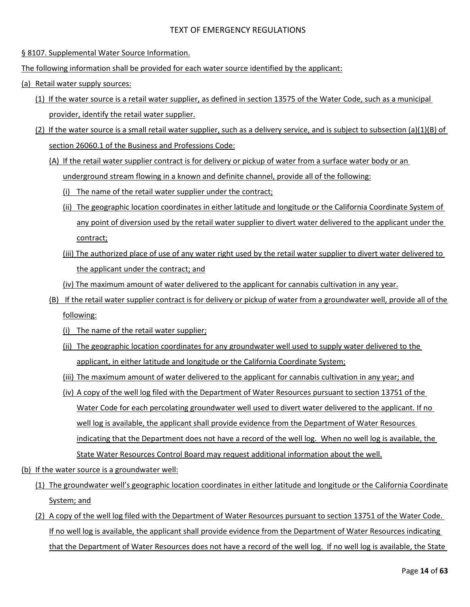<span id="page-15-0"></span>[§ 8107. Supplemental Water Source Information.](#page-0-0)

The following information shall be provided for each water source identified by the applicant:

- (a) Retail water supply sources:
	- (1) If the water source is a retail water supplier, as defined in section 13575 of the Water Code, such as a municipal provider, identify the retail water supplier.
	- (2) If the water source is a small retail water supplier, such as a delivery service, and is subject to subsection (a)(1)(B) of section 26060.1 of the Business and Professions Code:
		- (A) If the retail water supplier contract is for delivery or pickup of water from a surface water body or an underground stream flowing in a known and definite channel, provide all of the following:
			- (i) The name of the retail water supplier under the contract;
			- (ii) The geographic location coordinates in either latitude and longitude or the California Coordinate System of any point of diversion used by the retail water supplier to divert water delivered to the applicant under the contract;
			- (iii) The authorized place of use of any water right used by the retail water supplier to divert water delivered to the applicant under the contract; and
			- (iv) The maximum amount of water delivered to the applicant for cannabis cultivation in any year.
		- (B) If the retail water supplier contract is for delivery or pickup of water from a groundwater well, provide all of the following:
			- (i) The name of the retail water supplier;
			- (ii) The geographic location coordinates for any groundwater well used to supply water delivered to the applicant, in either latitude and longitude or the California Coordinate System;
			- (iii) The maximum amount of water delivered to the applicant for cannabis cultivation in any year; and
			- (iv) A copy of the well log filed with the Department of Water Resources pursuant to section 13751 of the Water Code for each percolating groundwater well used to divert water delivered to the applicant. If no well log is available, the applicant shall provide evidence from the Department of Water Resources indicating that the Department does not have a record of the well log. When no well log is available, the State Water Resources Control Board may request additional information about the well.
- (b) If the water source is a groundwater well:
	- (1) The groundwater well's geographic location coordinates in either latitude and longitude or the California Coordinate System; and
	- (2) A copy of the well log filed with the Department of Water Resources pursuant to section 13751 of the Water Code. If no well log is available, the applicant shall provide evidence from the Department of Water Resources indicating that the Department of Water Resources does not have a record of the well log. If no well log is available, the State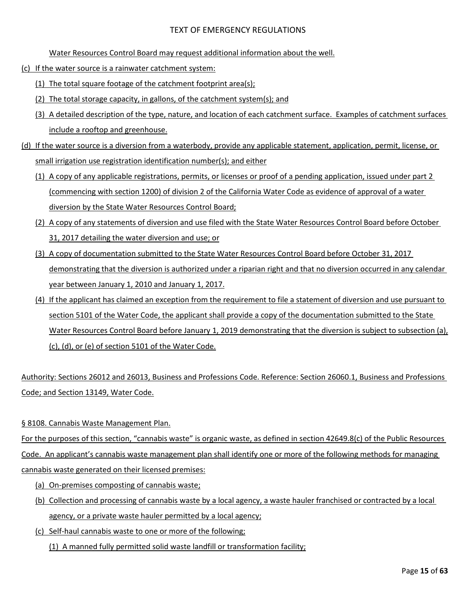Water Resources Control Board may request additional information about the well.

- (c) If the water source is a rainwater catchment system:
	- (1) The total square footage of the catchment footprint area(s);
	- (2) The total storage capacity, in gallons, of the catchment system(s); and
	- (3) A detailed description of the type, nature, and location of each catchment surface. Examples of catchment surfaces include a rooftop and greenhouse.
- (d) If the water source is a diversion from a waterbody, provide any applicable statement, application, permit, license, or small irrigation use registration identification number(s); and either
	- (1) A copy of any applicable registrations, permits, or licenses or proof of a pending application, issued under part 2 (commencing with section 1200) of division 2 of the California Water Code as evidence of approval of a water diversion by the State Water Resources Control Board;
	- (2) A copy of any statements of diversion and use filed with the State Water Resources Control Board before October 31, 2017 detailing the water diversion and use; or
	- (3) A copy of documentation submitted to the State Water Resources Control Board before October 31, 2017 demonstrating that the diversion is authorized under a riparian right and that no diversion occurred in any calendar year between January 1, 2010 and January 1, 2017.
	- (4) If the applicant has claimed an exception from the requirement to file a statement of diversion and use pursuant to section 5101 of the Water Code, the applicant shall provide a copy of the documentation submitted to the State Water Resources Control Board before January 1, 2019 demonstrating that the diversion is subject to subsection (a), (c), (d), or (e) of section 5101 of the Water Code.

Authority: Sections 26012 and 26013, Business and Professions Code. Reference: Section 26060.1, Business and Professions Code; and Section 13149, Water Code.

<span id="page-16-0"></span>[§ 8108. Cannabis Waste Management](#page-0-0) Plan.

For the purposes of this section, "cannabis waste" is organic waste, as defined in section 42649.8(c) of the Public Resources Code. An applicant's cannabis waste management plan shall identify one or more of the following methods for managing cannabis waste generated on their licensed premises:

- (a) On-premises composting of cannabis waste;
- (b) Collection and processing of cannabis waste by a local agency, a waste hauler franchised or contracted by a local agency, or a private waste hauler permitted by a local agency;
- (c) Self-haul cannabis waste to one or more of the following;
	- (1) A manned fully permitted solid waste landfill or transformation facility;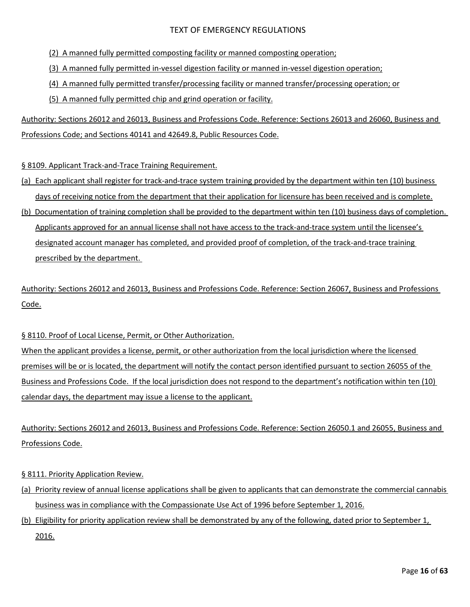- (2) A manned fully permitted composting facility or manned composting operation;
- (3) A manned fully permitted in-vessel digestion facility or manned in-vessel digestion operation;
- (4) A manned fully permitted transfer/processing facility or manned transfer/processing operation; or
- (5) A manned fully permitted chip and grind operation or facility.

Authority: Sections 26012 and 26013, Business and Professions Code. Reference: Sections 26013 and 26060, Business and Professions Code; and Sections 40141 and 42649.8, Public Resources Code.

#### <span id="page-17-0"></span>[§ 8109. Applicant Track-and-Trace Training Requirement.](#page-0-0)

- (a) Each applicant shall register for track-and-trace system training provided by the department within ten (10) business days of receiving notice from the department that their application for licensure has been received and is complete.
- (b) Documentation of training completion shall be provided to the department within ten (10) business days of completion. Applicants approved for an annual license shall not have access to the track-and-trace system until the licensee's designated account manager has completed, and provided proof of completion, of the track-and-trace training prescribed by the department.

Authority: Sections 26012 and 26013, Business and Professions Code. Reference: Section 26067, Business and Professions Code.

# <span id="page-17-1"></span>[§ 8110. Proof of Local License, Permit, or Other Authorization.](#page-0-0)

When the applicant provides a license, permit, or other authorization from the local jurisdiction where the licensed premises will be or is located, the department will notify the contact person identified pursuant to section 26055 of the Business and Professions Code. If the local jurisdiction does not respond to the department's notification within ten (10) calendar days, the department may issue a license to the applicant.

Authority: Sections 26012 and 26013, Business and Professions Code. Reference: Section 26050.1 and 26055, Business and Professions Code.

# <span id="page-17-2"></span>[§ 8111. Priority Application Review.](#page-0-0)

- (a) Priority review of annual license applications shall be given to applicants that can demonstrate the commercial cannabis business was in compliance with the Compassionate Use Act of 1996 before September 1, 2016.
- (b) Eligibility for priority application review shall be demonstrated by any of the following, dated prior to September 1, 2016.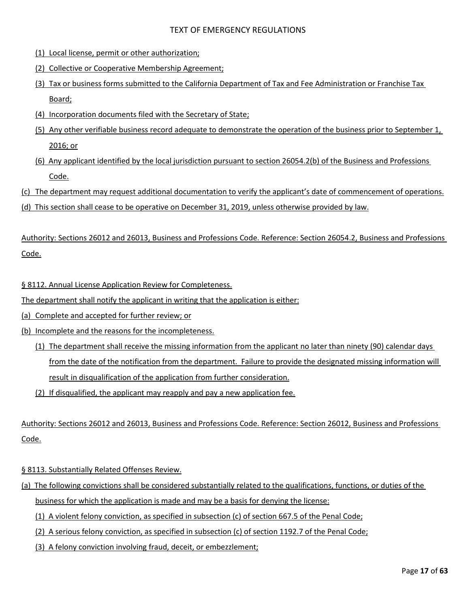- (1) Local license, permit or other authorization;
- (2) Collective or Cooperative Membership Agreement;
- (3) Tax or business forms submitted to the California Department of Tax and Fee Administration or Franchise Tax Board;
- (4) Incorporation documents filed with the Secretary of State;
- (5) Any other verifiable business record adequate to demonstrate the operation of the business prior to September 1, 2016; or
- (6) Any applicant identified by the local jurisdiction pursuant to section 26054.2(b) of the Business and Professions Code.
- (c) The department may request additional documentation to verify the applicant's date of commencement of operations.
- (d) This section shall cease to be operative on December 31, 2019, unless otherwise provided by law.

Authority: Sections 26012 and 26013, Business and Professions Code. Reference: Section 26054.2, Business and Professions Code.

<span id="page-18-0"></span>[§ 8112. Annual License Application Review for Completeness.](#page-0-0)

The department shall notify the applicant in writing that the application is either:

- (a) Complete and accepted for further review; or
- (b) Incomplete and the reasons for the incompleteness.
	- (1) The department shall receive the missing information from the applicant no later than ninety (90) calendar days from the date of the notification from the department. Failure to provide the designated missing information will result in disqualification of the application from further consideration.
	- (2) If disqualified, the applicant may reapply and pay a new application fee.

Authority: Sections 26012 and 26013, Business and Professions Code. Reference: Section 26012, Business and Professions Code.

<span id="page-18-1"></span>[§ 8113. Substantially Related Offenses Review.](#page-0-0)

- (a) The following convictions shall be considered substantially related to the qualifications, functions, or duties of the business for which the application is made and may be a basis for denying the license:
	- (1) A violent felony conviction, as specified in subsection (c) of section 667.5 of the Penal Code;
	- (2) A serious felony conviction, as specified in subsection (c) of section 1192.7 of the Penal Code;
	- (3) A felony conviction involving fraud, deceit, or embezzlement;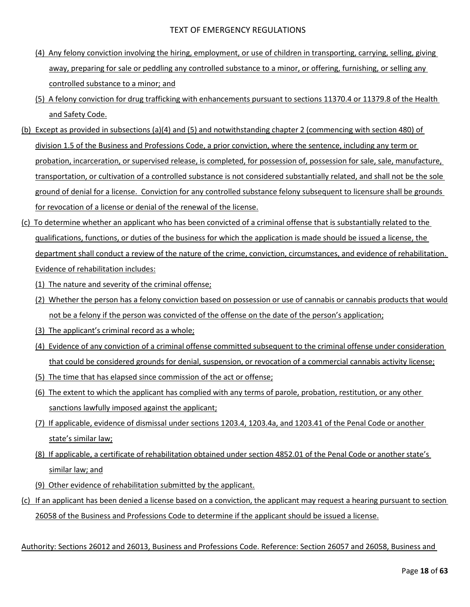- (4) Any felony conviction involving the hiring, employment, or use of children in transporting, carrying, selling, giving away, preparing for sale or peddling any controlled substance to a minor, or offering, furnishing, or selling any controlled substance to a minor; and
- (5) A felony conviction for drug trafficking with enhancements pursuant to sections 11370.4 or 11379.8 of the Health and Safety Code.
- (b) Except as provided in subsections (a)(4) and (5) and notwithstanding chapter 2 (commencing with section 480) of division 1.5 of the Business and Professions Code, a prior conviction, where the sentence, including any term or probation, incarceration, or supervised release, is completed, for possession of, possession for sale, sale, manufacture, transportation, or cultivation of a controlled substance is not considered substantially related, and shall not be the sole ground of denial for a license. Conviction for any controlled substance felony subsequent to licensure shall be grounds for revocation of a license or denial of the renewal of the license.
- (c) To determine whether an applicant who has been convicted of a criminal offense that is substantially related to the qualifications, functions, or duties of the business for which the application is made should be issued a license, the department shall conduct a review of the nature of the crime, conviction, circumstances, and evidence of rehabilitation. Evidence of rehabilitation includes:
	- (1) The nature and severity of the criminal offense;
	- (2) Whether the person has a felony conviction based on possession or use of cannabis or cannabis products that would not be a felony if the person was convicted of the offense on the date of the person's application;
	- (3) The applicant's criminal record as a whole;
	- (4) Evidence of any conviction of a criminal offense committed subsequent to the criminal offense under consideration that could be considered grounds for denial, suspension, or revocation of a commercial cannabis activity license;
	- (5) The time that has elapsed since commission of the act or offense;
	- (6) The extent to which the applicant has complied with any terms of parole, probation, restitution, or any other sanctions lawfully imposed against the applicant;
	- (7) If applicable, evidence of dismissal under sections 1203.4, 1203.4a, and 1203.41 of the Penal Code or another state's similar law;
	- (8) If applicable, a certificate of rehabilitation obtained under section 4852.01 of the Penal Code or another state's similar law; and
	- (9) Other evidence of rehabilitation submitted by the applicant.
- (c) If an applicant has been denied a license based on a conviction, the applicant may request a hearing pursuant to section 26058 of the Business and Professions Code to determine if the applicant should be issued a license.

Authority: Sections 26012 and 26013, Business and Professions Code. Reference: Section 26057 and 26058, Business and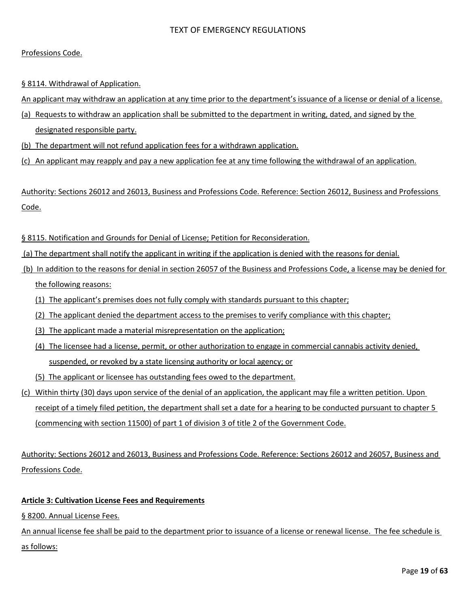#### Professions Code.

<span id="page-20-0"></span>[§ 8114. Withdrawal of Application.](#page-0-0)

An applicant may withdraw an application at any time prior to the department's issuance of a license or denial of a license.

- (a) Requests to withdraw an application shall be submitted to the department in writing, dated, and signed by the designated responsible party.
- (b) The department will not refund application fees for a withdrawn application.
- (c) An applicant may reapply and pay a new application fee at any time following the withdrawal of an application.

Authority: Sections 26012 and 26013, Business and Professions Code. Reference: Section 26012, Business and Professions Code.

<span id="page-20-1"></span>[§ 8115. Notification and Grounds for Denial of License;](#page-0-0) Petition for Reconsideration.

(a) The department shall notify the applicant in writing if the application is denied with the reasons for denial.

- (b) In addition to the reasons for denial in section 26057 of the Business and Professions Code, a license may be denied for the following reasons:
	- (1) The applicant's premises does not fully comply with standards pursuant to this chapter;
	- (2) The applicant denied the department access to the premises to verify compliance with this chapter;
	- (3) The applicant made a material misrepresentation on the application;
	- (4) The licensee had a license, permit, or other authorization to engage in commercial cannabis activity denied, suspended, or revoked by a state licensing authority or local agency; or
	- (5) The applicant or licensee has outstanding fees owed to the department.
- (c) Within thirty (30) days upon service of the denial of an application, the applicant may file a written petition. Upon receipt of a timely filed petition, the department shall set a date for a hearing to be conducted pursuant to chapter 5 (commencing with section 11500) of part 1 of division 3 of title 2 of the Government Code.

Authority: Sections 26012 and 26013, Business and Professions Code. Reference: Sections 26012 and 26057, Business and Professions Code.

#### <span id="page-20-2"></span>**[Article 3: Cultivation License Fees and Requirements](#page-0-0)**

<span id="page-20-3"></span>[§ 8200. Annual License Fees.](#page-0-0)

An annual license fee shall be paid to the department prior to issuance of a license or renewal license. The fee schedule is as follows: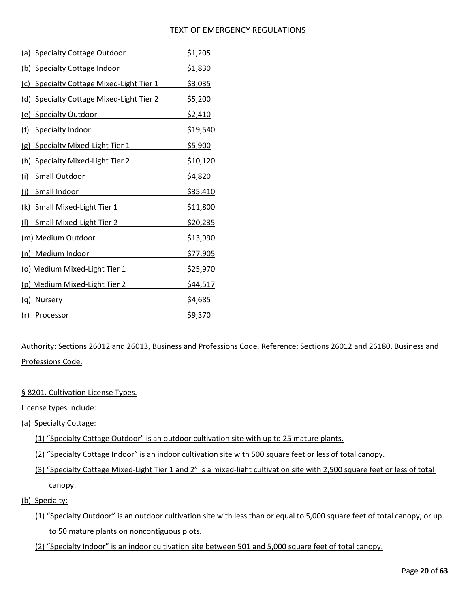| (a) Specialty Cottage Outdoor                                                                                                                                                                                                  | \$1,205         |
|--------------------------------------------------------------------------------------------------------------------------------------------------------------------------------------------------------------------------------|-----------------|
| (b) Specialty Cottage Indoor                                                                                                                                                                                                   | \$1,830         |
| (c) Specialty Cottage Mixed-Light Tier 1                                                                                                                                                                                       | \$3,035         |
| (d) Specialty Cottage Mixed-Light Tier 2 \$5,200                                                                                                                                                                               |                 |
| (e) Specialty Outdoor (e) Specialty Outdoor                                                                                                                                                                                    | <u>\$2,410</u>  |
| (f) Specialty Indoor                                                                                                                                                                                                           | <u>\$19,540</u> |
| (g) Specialty Mixed-Light Tier 1 55,900                                                                                                                                                                                        |                 |
| (h) Specialty Mixed-Light Tier 2 510,120                                                                                                                                                                                       |                 |
| $(i)$ Small Outdoor $\frac{\text{S4,820}}{1000}$                                                                                                                                                                               |                 |
| (j) Small Indoor (j) Small Indoor                                                                                                                                                                                              | \$35,410        |
| (k) Small Mixed-Light Tier 1 511,800                                                                                                                                                                                           |                 |
| (I) Small Mixed-Light Tier 2 520,235                                                                                                                                                                                           |                 |
| (m) Medium Outdoor Contains the Contains of the Contains of the Contains of the Contains of the Contains of the Contains of the Contains of the Contains of the Contains of the Contains of the Contains of the Contains of th | <u>\$13,990</u> |
| (n) Medium Indoor (n) Medium Indoor                                                                                                                                                                                            | <u>\$77,905</u> |
| (o) Medium Mixed-Light Tier 1                                                                                                                                                                                                  | \$25,970        |
| (p) Medium Mixed-Light Tier 2 544,517                                                                                                                                                                                          |                 |
| (q) Nursery \$4,685                                                                                                                                                                                                            |                 |
| (r) Processor<br><u> 1989 - Johann Barn, mars ann an t-Amhair an t-A</u>                                                                                                                                                       | \$9,370         |

Authority: Sections 26012 and 26013, Business and Professions Code. Reference: Sections 26012 and 26180, Business and Professions Code.

<span id="page-21-0"></span>[§ 8201. Cultivation License Types.](#page-0-0)

License types include:

- (a) Specialty Cottage:
	- (1) "Specialty Cottage Outdoor" is an outdoor cultivation site with up to 25 mature plants.

(2) "Specialty Cottage Indoor" is an indoor cultivation site with 500 square feet or less of total canopy.

(3) "Specialty Cottage Mixed-Light Tier 1 and 2" is a mixed-light cultivation site with 2,500 square feet or less of total canopy.

#### (b) Specialty:

(1) "Specialty Outdoor" is an outdoor cultivation site with less than or equal to 5,000 square feet of total canopy, or up to 50 mature plants on noncontiguous plots.

(2) "Specialty Indoor" is an indoor cultivation site between 501 and 5,000 square feet of total canopy.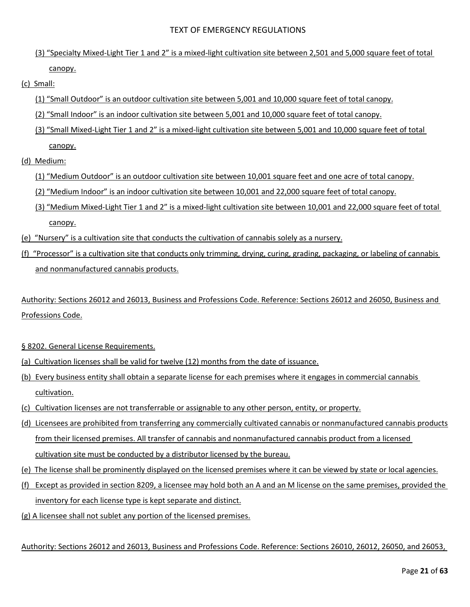- (3) "Specialty Mixed-Light Tier 1 and 2" is a mixed-light cultivation site between 2,501 and 5,000 square feet of total canopy.
- (c) Small:
	- (1) "Small Outdoor" is an outdoor cultivation site between 5,001 and 10,000 square feet of total canopy.
	- (2) "Small Indoor" is an indoor cultivation site between 5,001 and 10,000 square feet of total canopy.
	- (3) "Small Mixed-Light Tier 1 and 2" is a mixed-light cultivation site between 5,001 and 10,000 square feet of total canopy.
- (d) Medium:
	- (1) "Medium Outdoor" is an outdoor cultivation site between 10,001 square feet and one acre of total canopy.
	- (2) "Medium Indoor" is an indoor cultivation site between 10,001 and 22,000 square feet of total canopy.
	- (3) "Medium Mixed-Light Tier 1 and 2" is a mixed-light cultivation site between 10,001 and 22,000 square feet of total canopy.
- (e) "Nursery" is a cultivation site that conducts the cultivation of cannabis solely as a nursery.
- (f) "Processor" is a cultivation site that conducts only trimming, drying, curing, grading, packaging, or labeling of cannabis and nonmanufactured cannabis products.

Authority: Sections 26012 and 26013, Business and Professions Code. Reference: Sections 26012 and 26050, Business and Professions Code.

- <span id="page-22-0"></span>[§ 8202. General License Requirements.](#page-0-0)
- (a) Cultivation licenses shall be valid for twelve (12) months from the date of issuance.
- (b) Every business entity shall obtain a separate license for each premises where it engages in commercial cannabis cultivation.
- (c) Cultivation licenses are not transferrable or assignable to any other person, entity, or property.
- (d) Licensees are prohibited from transferring any commercially cultivated cannabis or nonmanufactured cannabis products from their licensed premises. All transfer of cannabis and nonmanufactured cannabis product from a licensed cultivation site must be conducted by a distributor licensed by the bureau.
- (e) The license shall be prominently displayed on the licensed premises where it can be viewed by state or local agencies.
- (f) Except as provided in section 8209, a licensee may hold both an A and an M license on the same premises, provided the inventory for each license type is kept separate and distinct.
- (g) A licensee shall not sublet any portion of the licensed premises.

Authority: Sections 26012 and 26013, Business and Professions Code. Reference: Sections 26010, 26012, 26050, and 26053,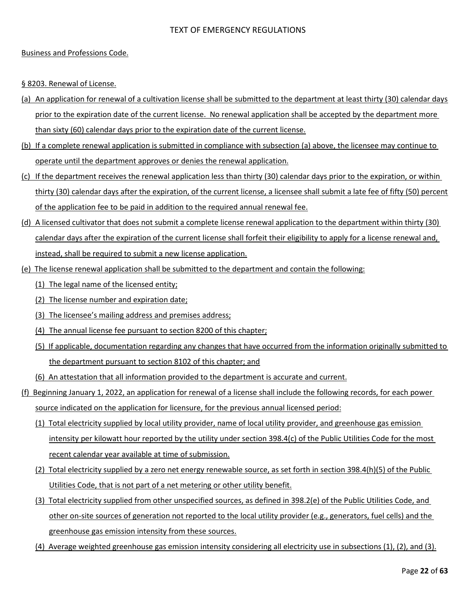Business and Professions Code.

<span id="page-23-0"></span>[§ 8203. Renewal of License.](#page-0-0)

- (a) An application for renewal of a cultivation license shall be submitted to the department at least thirty (30) calendar days prior to the expiration date of the current license. No renewal application shall be accepted by the department more than sixty (60) calendar days prior to the expiration date of the current license.
- (b) If a complete renewal application is submitted in compliance with subsection (a) above, the licensee may continue to operate until the department approves or denies the renewal application.
- (c) If the department receives the renewal application less than thirty (30) calendar days prior to the expiration, or within thirty (30) calendar days after the expiration, of the current license, a licensee shall submit a late fee of fifty (50) percent of the application fee to be paid in addition to the required annual renewal fee.
- (d) A licensed cultivator that does not submit a complete license renewal application to the department within thirty (30) calendar days after the expiration of the current license shall forfeit their eligibility to apply for a license renewal and, instead, shall be required to submit a new license application.
- (e) The license renewal application shall be submitted to the department and contain the following:

(1) The legal name of the licensed entity;

- (2) The license number and expiration date;
- (3) The licensee's mailing address and premises address;
- (4) The annual license fee pursuant to section 8200 of this chapter;
- (5) If applicable, documentation regarding any changes that have occurred from the information originally submitted to the department pursuant to section 8102 of this chapter; and
- (6) An attestation that all information provided to the department is accurate and current.
- (f) Beginning January 1, 2022, an application for renewal of a license shall include the following records, for each power source indicated on the application for licensure, for the previous annual licensed period:
	- (1) Total electricity supplied by local utility provider, name of local utility provider, and greenhouse gas emission intensity per kilowatt hour reported by the utility under section 398.4(c) of the Public Utilities Code for the most recent calendar year available at time of submission.
	- (2) Total electricity supplied by a zero net energy renewable source, as set forth in section 398.4(h)(5) of the Public Utilities Code, that is not part of a net metering or other utility benefit.
	- (3) Total electricity supplied from other unspecified sources, as defined in 398.2(e) of the Public Utilities Code, and other on-site sources of generation not reported to the local utility provider (e.g., generators, fuel cells) and the greenhouse gas emission intensity from these sources.
	- (4) Average weighted greenhouse gas emission intensity considering all electricity use in subsections (1), (2), and (3).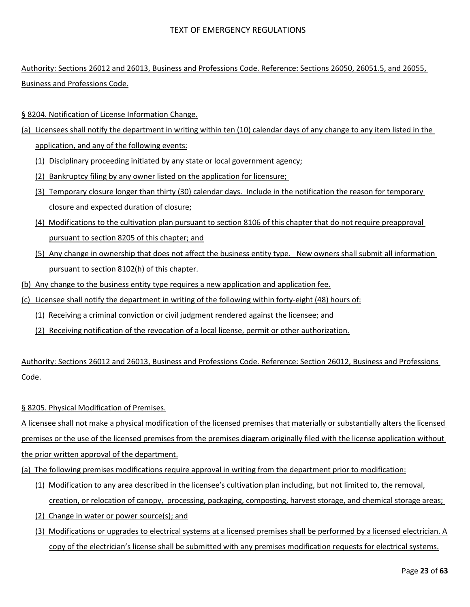Authority: Sections 26012 and 26013, Business and Professions Code. Reference: Sections 26050, 26051.5, and 26055, Business and Professions Code.

<span id="page-24-0"></span>[§ 8204. Notification of License Information Change.](#page-0-0)

- (a) Licensees shall notify the department in writing within ten (10) calendar days of any change to any item listed in the application, and any of the following events:
	- (1) Disciplinary proceeding initiated by any state or local government agency;
	- (2) Bankruptcy filing by any owner listed on the application for licensure;
	- (3) Temporary closure longer than thirty (30) calendar days. Include in the notification the reason for temporary closure and expected duration of closure;
	- (4) Modifications to the cultivation plan pursuant to section 8106 of this chapter that do not require preapproval pursuant to section 8205 of this chapter; and
	- (5) Any change in ownership that does not affect the business entity type. New owners shall submit all information pursuant to section 8102(h) of this chapter.
- (b) Any change to the business entity type requires a new application and application fee.
- (c) Licensee shall notify the department in writing of the following within forty-eight (48) hours of:
	- (1) Receiving a criminal conviction or civil judgment rendered against the licensee; and
	- (2) Receiving notification of the revocation of a local license, permit or other authorization.

Authority: Sections 26012 and 26013, Business and Professions Code. Reference: Section 26012, Business and Professions Code.

<span id="page-24-1"></span>[§ 8205. Physical Modification of Premises.](#page-0-0)

A licensee shall not make a physical modification of the licensed premises that materially or substantially alters the licensed premises or the use of the licensed premises from the premises diagram originally filed with the license application without the prior written approval of the department.

- (a) The following premises modifications require approval in writing from the department prior to modification:
	- (1) Modification to any area described in the licensee's cultivation plan including, but not limited to, the removal, creation, or relocation of canopy, processing, packaging, composting, harvest storage, and chemical storage areas;
	- (2) Change in water or power source(s); and
	- (3) Modifications or upgrades to electrical systems at a licensed premises shall be performed by a licensed electrician. A copy of the electrician's license shall be submitted with any premises modification requests for electrical systems.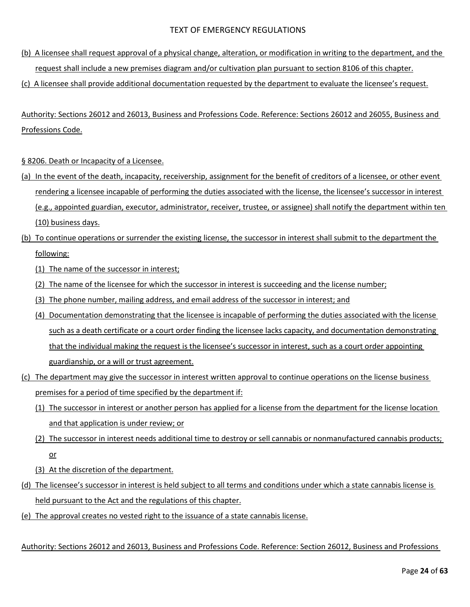- (b) A licensee shall request approval of a physical change, alteration, or modification in writing to the department, and the request shall include a new premises diagram and/or cultivation plan pursuant to section 8106 of this chapter.
- (c) A licensee shall provide additional documentation requested by the department to evaluate the licensee's request.

Authority: Sections 26012 and 26013, Business and Professions Code. Reference: Sections 26012 and 26055, Business and Professions Code.

- <span id="page-25-0"></span>[§ 8206. Death or Incapacity of a Licensee.](#page-0-0)
- (a) In the event of the death, incapacity, receivership, assignment for the benefit of creditors of a licensee, or other event rendering a licensee incapable of performing the duties associated with the license, the licensee's successor in interest (e.g., appointed guardian, executor, administrator, receiver, trustee, or assignee) shall notify the department within ten (10) business days.
- (b) To continue operations or surrender the existing license, the successor in interest shall submit to the department the following:
	- (1) The name of the successor in interest;
	- (2) The name of the licensee for which the successor in interest is succeeding and the license number;
	- (3) The phone number, mailing address, and email address of the successor in interest; and
	- (4) Documentation demonstrating that the licensee is incapable of performing the duties associated with the license such as a death certificate or a court order finding the licensee lacks capacity, and documentation demonstrating that the individual making the request is the licensee's successor in interest, such as a court order appointing guardianship, or a will or trust agreement.
- (c) The department may give the successor in interest written approval to continue operations on the license business premises for a period of time specified by the department if:
	- (1) The successor in interest or another person has applied for a license from the department for the license location and that application is under review; or
	- (2) The successor in interest needs additional time to destroy or sell cannabis or nonmanufactured cannabis products; or
	- (3) At the discretion of the department.
- (d) The licensee's successor in interest is held subject to all terms and conditions under which a state cannabis license is held pursuant to the Act and the regulations of this chapter.
- (e) The approval creates no vested right to the issuance of a state cannabis license.

Authority: Sections 26012 and 26013, Business and Professions Code. Reference: Section 26012, Business and Professions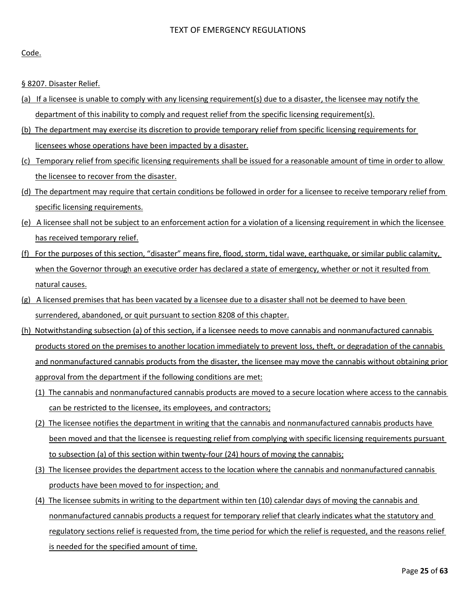Code.

<span id="page-26-0"></span>[§ 8207. Disaster Relief.](#page-0-0)

- (a) If a licensee is unable to comply with any licensing requirement(s) due to a disaster, the licensee may notify the department of this inability to comply and request relief from the specific licensing requirement(s).
- (b) The department may exercise its discretion to provide temporary relief from specific licensing requirements for licensees whose operations have been impacted by a disaster.
- (c) Temporary relief from specific licensing requirements shall be issued for a reasonable amount of time in order to allow the licensee to recover from the disaster.
- (d) The department may require that certain conditions be followed in order for a licensee to receive temporary relief from specific licensing requirements.
- (e) A licensee shall not be subject to an enforcement action for a violation of a licensing requirement in which the licensee has received temporary relief.
- (f) For the purposes of this section, "disaster" means fire, flood, storm, tidal wave, earthquake, or similar public calamity, when the Governor through an executive order has declared a state of emergency, whether or not it resulted from natural causes.
- (g) A licensed premises that has been vacated by a licensee due to a disaster shall not be deemed to have been surrendered, abandoned, or quit pursuant to section 8208 of this chapter.
- (h) Notwithstanding subsection (a) of this section, if a licensee needs to move cannabis and nonmanufactured cannabis products stored on the premises to another location immediately to prevent loss, theft, or degradation of the cannabis and nonmanufactured cannabis products from the disaster, the licensee may move the cannabis without obtaining prior approval from the department if the following conditions are met:
	- (1) The cannabis and nonmanufactured cannabis products are moved to a secure location where access to the cannabis can be restricted to the licensee, its employees, and contractors;
	- (2) The licensee notifies the department in writing that the cannabis and nonmanufactured cannabis products have been moved and that the licensee is requesting relief from complying with specific licensing requirements pursuant to subsection (a) of this section within twenty-four (24) hours of moving the cannabis;
	- (3) The licensee provides the department access to the location where the cannabis and nonmanufactured cannabis products have been moved to for inspection; and
	- (4) The licensee submits in writing to the department within ten (10) calendar days of moving the cannabis and nonmanufactured cannabis products a request for temporary relief that clearly indicates what the statutory and regulatory sections relief is requested from, the time period for which the relief is requested, and the reasons relief is needed for the specified amount of time.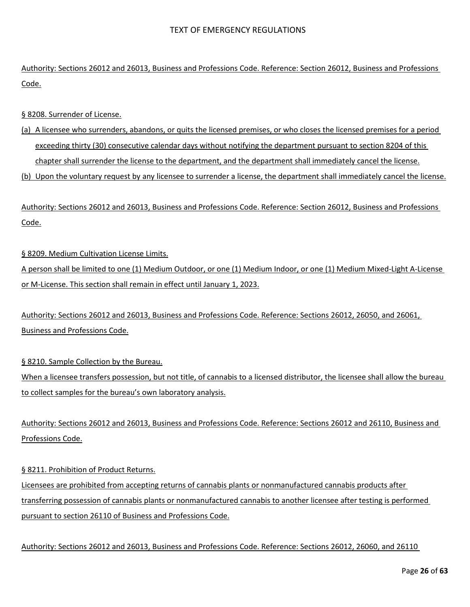Authority: Sections 26012 and 26013, Business and Professions Code. Reference: Section 26012, Business and Professions Code.

<span id="page-27-0"></span>[§ 8208. Surrender of License.](#page-0-0)

(a) A licensee who surrenders, abandons, or quits the licensed premises, or who closes the licensed premises for a period exceeding thirty (30) consecutive calendar days without notifying the department pursuant to section 8204 of this chapter shall surrender the license to the department, and the department shall immediately cancel the license.

(b) Upon the voluntary request by any licensee to surrender a license, the department shall immediately cancel the license.

Authority: Sections 26012 and 26013, Business and Professions Code. Reference: Section 26012, Business and Professions Code.

#### <span id="page-27-1"></span>[§ 8209. Medium Cultivation License Limits.](#page-0-0)

A person shall be limited to one (1) Medium Outdoor, or one (1) Medium Indoor, or one (1) Medium Mixed-Light A-License or M-License. This section shall remain in effect until January 1, 2023.

Authority: Sections 26012 and 26013, Business and Professions Code. Reference: Sections 26012, 26050, and 26061, Business and Professions Code.

<span id="page-27-2"></span>[§ 8210. Sample Collection by the Bureau.](#page-0-0) When a licensee transfers possession, but not title, of cannabis to a licensed distributor, the licensee shall allow the bureau to collect samples for the bureau's own laboratory analysis.

Authority: Sections 26012 and 26013, Business and Professions Code. Reference: Sections 26012 and 26110, Business and Professions Code.

<span id="page-27-3"></span>[§ 8211. Prohibition of Product Returns.](#page-0-0)

Licensees are prohibited from accepting returns of cannabis plants or nonmanufactured cannabis products after transferring possession of cannabis plants or nonmanufactured cannabis to another licensee after testing is performed pursuant to section 26110 of Business and Professions Code.

Authority: Sections 26012 and 26013, Business and Professions Code. Reference: Sections 26012, 26060, and 26110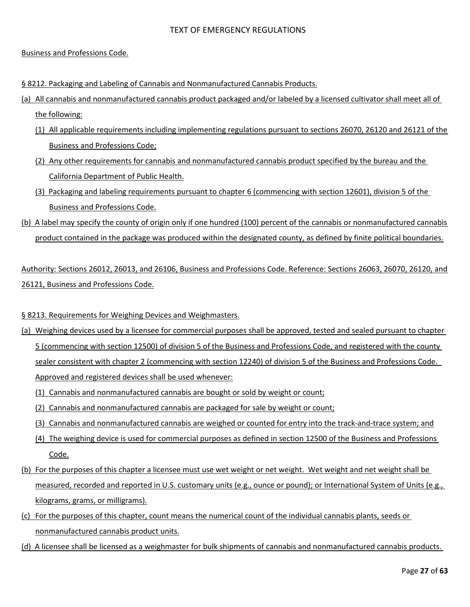#### Business and Professions Code.

- <span id="page-28-0"></span>[§ 8212. Packaging and Labeling of Cannabis and Nonmanufactured Cannabis Products.](#page-0-0)
- (a) All cannabis and nonmanufactured cannabis product packaged and/or labeled by a licensed cultivator shall meet all of the following:
	- (1) All applicable requirements including implementing regulations pursuant to sections 26070, 26120 and 26121 of the Business and Professions Code;
	- (2) Any other requirements for cannabis and nonmanufactured cannabis product specified by the bureau and the California Department of Public Health.
	- (3) Packaging and labeling requirements pursuant to chapter 6 (commencing with section 12601), division 5 of the Business and Professions Code.
- (b) A label may specify the county of origin only if one hundred (100) percent of the cannabis or nonmanufactured cannabis product contained in the package was produced within the designated county, as defined by finite political boundaries.

Authority: Sections 26012, 26013, and 26106, Business and Professions Code. Reference: Sections 26063, 26070, 26120, and 26121, Business and Professions Code.

<span id="page-28-1"></span>[§ 8213. Requirements for Weighing Devices and Weighmasters.](#page-0-0)

- (a) Weighing devices used by a licensee for commercial purposes shall be approved, tested and sealed pursuant to chapter 5 (commencing with section 12500) of division 5 of the Business and Professions Code, and registered with the county sealer consistent with chapter 2 (commencing with section 12240) of division 5 of the Business and Professions Code. Approved and registered devices shall be used whenever:
	- (1) Cannabis and nonmanufactured cannabis are bought or sold by weight or count;
	- (2) Cannabis and nonmanufactured cannabis are packaged for sale by weight or count;
	- (3) Cannabis and nonmanufactured cannabis are weighed or counted for entry into the track-and-trace system; and
	- (4) The weighing device is used for commercial purposes as defined in section 12500 of the Business and Professions Code.
- (b) For the purposes of this chapter a licensee must use wet weight or net weight. Wet weight and net weight shall be measured, recorded and reported in U.S. customary units (e.g., ounce or pound); or International System of Units (e.g., kilograms, grams, or milligrams).
- (c) For the purposes of this chapter, count means the numerical count of the individual cannabis plants, seeds or nonmanufactured cannabis product units.
- (d) A licensee shall be licensed as a weighmaster for bulk shipments of cannabis and nonmanufactured cannabis products.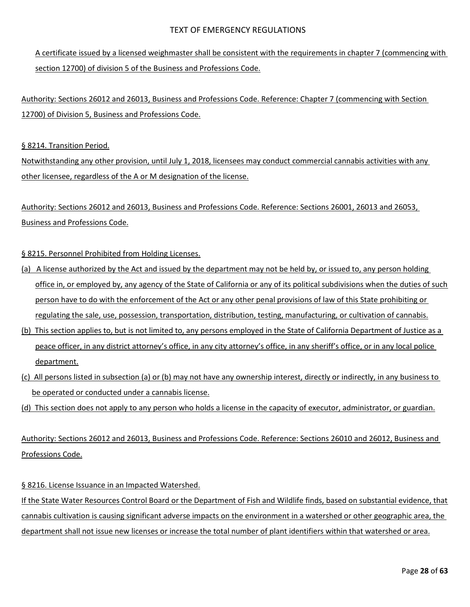A certificate issued by a licensed weighmaster shall be consistent with the requirements in chapter 7 (commencing with section 12700) of division 5 of the Business and Professions Code.

Authority: Sections 26012 and 26013, Business and Professions Code. Reference: Chapter 7 (commencing with Section 12700) of Division 5, Business and Professions Code.

<span id="page-29-0"></span>[§ 8214. Transition Period.](#page-0-0)

Notwithstanding any other provision, until July 1, 2018, licensees may conduct commercial cannabis activities with any other licensee, regardless of the A or M designation of the license.

Authority: Sections 26012 and 26013, Business and Professions Code. Reference: Sections 26001, 26013 and 26053, Business and Professions Code.

#### <span id="page-29-1"></span>[§ 8215. Personnel Prohibited from Holding Licenses.](#page-0-0)

- (a) A license authorized by the Act and issued by the department may not be held by, or issued to, any person holding office in, or employed by, any agency of the State of California or any of its political subdivisions when the duties of such person have to do with the enforcement of the Act or any other penal provisions of law of this State prohibiting or regulating the sale, use, possession, transportation, distribution, testing, manufacturing, or cultivation of cannabis.
- (b) This section applies to, but is not limited to, any persons employed in the State of California Department of Justice as a peace officer, in any district attorney's office, in any city attorney's office, in any sheriff's office, or in any local police department.
- (c) All persons listed in subsection (a) or (b) may not have any ownership interest, directly or indirectly, in any business to be operated or conducted under a cannabis license.
- (d) This section does not apply to any person who holds a license in the capacity of executor, administrator, or guardian.

Authority: Sections 26012 and 26013, Business and Professions Code. Reference: Sections 26010 and 26012, Business and Professions Code.

#### <span id="page-29-2"></span>[§ 8216. License Issuance in an Impacted Watershed.](#page-0-0)

If the State Water Resources Control Board or the Department of Fish and Wildlife finds, based on substantial evidence, that cannabis cultivation is causing significant adverse impacts on the environment in a watershed or other geographic area, the department shall not issue new licenses or increase the total number of plant identifiers within that watershed or area.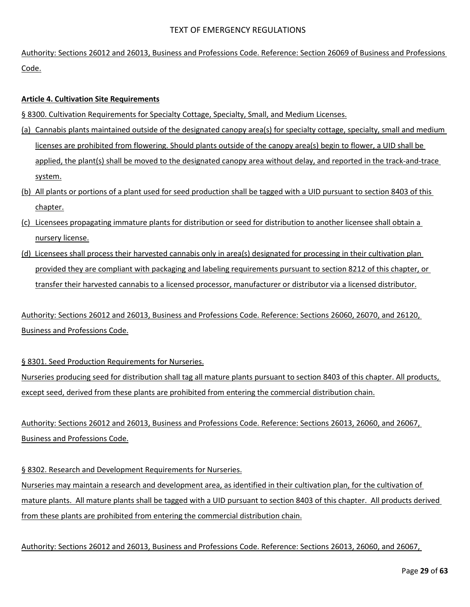Authority: Sections 26012 and 26013, Business and Professions Code. Reference: Section 26069 of Business and Professions Code.

#### <span id="page-30-0"></span>**[Article 4. Cultivation Site Requirements](#page-0-0)**

<span id="page-30-1"></span>[§ 8300. Cultivation Requirements for Specialty Cottage, Specialty, Small, and Medium Licenses.](#page-0-0)

- (a) Cannabis plants maintained outside of the designated canopy area(s) for specialty cottage, specialty, small and medium licenses are prohibited from flowering. Should plants outside of the canopy area(s) begin to flower, a UID shall be applied, the plant(s) shall be moved to the designated canopy area without delay, and reported in the track-and-trace system.
- (b) All plants or portions of a plant used for seed production shall be tagged with a UID pursuant to section 8403 of this chapter.
- (c) Licensees propagating immature plants for distribution or seed for distribution to another licensee shall obtain a nursery license.
- (d) Licensees shall process their harvested cannabis only in area(s) designated for processing in their cultivation plan provided they are compliant with packaging and labeling requirements pursuant to section 8212 of this chapter, or transfer their harvested cannabis to a licensed processor, manufacturer or distributor via a licensed distributor.

Authority: Sections 26012 and 26013, Business and Professions Code. Reference: Sections 26060, 26070, and 26120, Business and Professions Code.

<span id="page-30-2"></span>§ 8301. Seed Production [Requirements for Nurseries.](#page-0-0) Nurseries producing seed for distribution shall tag all mature plants pursuant to section 8403 of this chapter. All products, except seed, derived from these plants are prohibited from entering the commercial distribution chain.

Authority: Sections 26012 and 26013, Business and Professions Code. Reference: Sections 26013, 26060, and 26067, Business and Professions Code.

<span id="page-30-3"></span>[§ 8302. Research and Development](#page-0-0) Requirements for Nurseries.

Nurseries may maintain a research and development area, as identified in their cultivation plan, for the cultivation of mature plants. All mature plants shall be tagged with a UID pursuant to section 8403 of this chapter. All products derived from these plants are prohibited from entering the commercial distribution chain.

Authority: Sections 26012 and 26013, Business and Professions Code. Reference: Sections 26013, 26060, and 26067,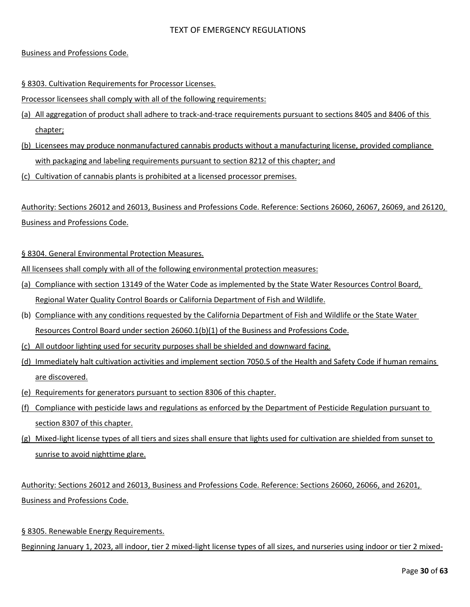Business and Professions Code.

<span id="page-31-0"></span>[§ 8303. Cultivation Requirements for Processor Licenses.](#page-0-0)

Processor licensees shall comply with all of the following requirements:

- (a) All aggregation of product shall adhere to track-and-trace requirements pursuant to sections 8405 and 8406 of this chapter;
- (b) Licensees may produce nonmanufactured cannabis products without a manufacturing license, provided compliance with packaging and labeling requirements pursuant to section 8212 of this chapter; and
- (c) Cultivation of cannabis plants is prohibited at a licensed processor premises.

Authority: Sections 26012 and 26013, Business and Professions Code. Reference: Sections 26060, 26067, 26069, and 26120, Business and Professions Code.

<span id="page-31-1"></span>§ 8304. General [Environmental Protection Measures.](#page-0-0)

All licensees shall comply with all of the following environmental protection measures:

- (a) Compliance with section 13149 of the Water Code as implemented by the State Water Resources Control Board, Regional Water Quality Control Boards or California Department of Fish and Wildlife.
- (b) Compliance with any conditions requested by the California Department of Fish and Wildlife or the State Water Resources Control Board under section 26060.1(b)(1) of the Business and Professions Code.
- (c) All outdoor lighting used for security purposes shall be shielded and downward facing.
- (d) Immediately halt cultivation activities and implement section 7050.5 of the Health and Safety Code if human remains are discovered.
- (e) Requirements for generators pursuant to section 8306 of this chapter.
- (f) Compliance with pesticide laws and regulations as enforced by the Department of Pesticide Regulation pursuant to section 8307 of this chapter.
- (g) Mixed-light license types of all tiers and sizes shall ensure that lights used for cultivation are shielded from sunset to sunrise to avoid nighttime glare.

Authority: Sections 26012 and 26013, Business and Professions Code. Reference: Sections 26060, 26066, and 26201, Business and Professions Code.

#### <span id="page-31-2"></span>[§ 8305. Renewable Energy Requirements.](#page-0-0)

Beginning January 1, 2023, all indoor, tier 2 mixed-light license types of all sizes, and nurseries using indoor or tier 2 mixed-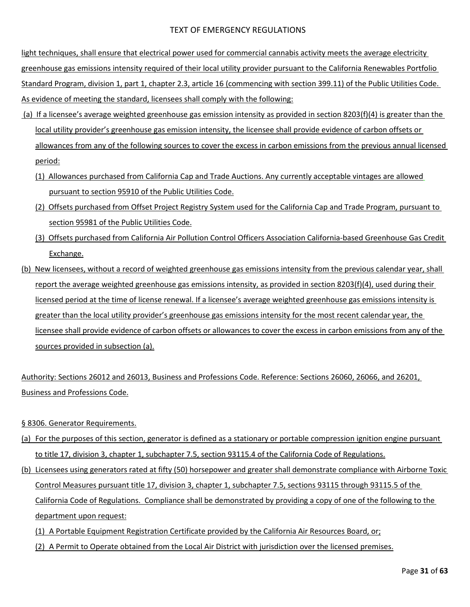light techniques, shall ensure that electrical power used for commercial cannabis activity meets the average electricity greenhouse gas emissions intensity required of their local utility provider pursuant to the California Renewables Portfolio Standard Program, division 1, part 1, chapter 2.3, article 16 (commencing with section 399.11) of the Public Utilities Code. As evidence of meeting the standard, licensees shall comply with the following:

- (a) If a licensee's average weighted greenhouse gas emission intensity as provided in section 8203(f)(4) is greater than the local utility provider's greenhouse gas emission intensity, the licensee shall provide evidence of carbon offsets or allowances from any of the following sources to cover the excess in carbon emissions from the previous annual licensed period:
	- (1) Allowances purchased from California Cap and Trade Auctions. Any currently acceptable vintages are allowed pursuant to section 95910 of the Public Utilities Code.
	- (2) Offsets purchased from Offset Project Registry System used for the California Cap and Trade Program, pursuant to section 95981 of the Public Utilities Code.
	- (3) Offsets purchased from California Air Pollution Control Officers Association California-based Greenhouse Gas Credit Exchange.
- (b) New licensees, without a record of weighted greenhouse gas emissions intensity from the previous calendar year, shall report the average weighted greenhouse gas emissions intensity, as provided in section 8203(f)(4), used during their licensed period at the time of license renewal. If a licensee's average weighted greenhouse gas emissions intensity is greater than the local utility provider's greenhouse gas emissions intensity for the most recent calendar year, the licensee shall provide evidence of carbon offsets or allowances to cover the excess in carbon emissions from any of the sources provided in subsection (a).

Authority: Sections 26012 and 26013, Business and Professions Code. Reference: Sections 26060, 26066, and 26201, Business and Professions Code.

#### <span id="page-32-0"></span>§ 8306. [Generator Requirements.](#page-0-0)

- (a) For the purposes of this section, generator is defined as a stationary or portable compression ignition engine pursuant to title 17, division 3, chapter 1, subchapter 7.5, section 93115.4 of the California Code of Regulations.
- (b) Licensees using generators rated at fifty (50) horsepower and greater shall demonstrate compliance with Airborne Toxic Control Measures pursuant title 17, division 3, chapter 1, subchapter 7.5, sections 93115 through 93115.5 of the California Code of Regulations. Compliance shall be demonstrated by providing a copy of one of the following to the department upon request:
	- (1) A Portable Equipment Registration Certificate provided by the California Air Resources Board, or;
	- (2) A Permit to Operate obtained from the Local Air District with jurisdiction over the licensed premises.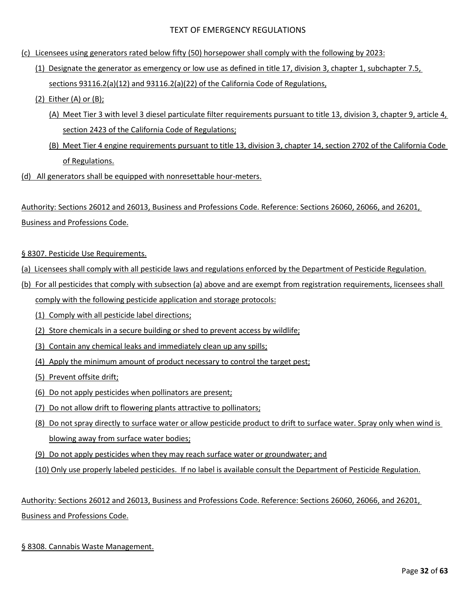(c) Licensees using generators rated below fifty (50) horsepower shall comply with the following by 2023:

- (1) Designate the generator as emergency or low use as defined in title 17, division 3, chapter 1, subchapter 7.5, sections 93116.2(a)(12) and 93116.2(a)(22) of the California Code of Regulations,
- $(2)$  Either  $(A)$  or  $(B)$ ;
	- (A) Meet Tier 3 with level 3 diesel particulate filter requirements pursuant to title 13, division 3, chapter 9, article 4, section 2423 of the California Code of Regulations;
	- (B) Meet Tier 4 engine requirements pursuant to title 13, division 3, chapter 14, section 2702 of the California Code of Regulations.
- (d) All generators shall be equipped with nonresettable hour-meters.

Authority: Sections 26012 and 26013, Business and Professions Code. Reference: Sections 26060, 26066, and 26201, Business and Professions Code.

#### <span id="page-33-0"></span>§ 8307. [Pesticide Use Requirements.](#page-0-0)

- (a) Licensees shall comply with all pesticide laws and regulations enforced by the Department of Pesticide Regulation.
- (b) For all pesticides that comply with subsection (a) above and are exempt from registration requirements, licensees shall comply with the following pesticide application and storage protocols:
	- (1) Comply with all pesticide label directions;
	- (2) Store chemicals in a secure building or shed to prevent access by wildlife;
	- (3) Contain any chemical leaks and immediately clean up any spills;
	- (4) Apply the minimum amount of product necessary to control the target pest;
	- (5) Prevent offsite drift;
	- (6) Do not apply pesticides when pollinators are present;
	- (7) Do not allow drift to flowering plants attractive to pollinators;
	- (8) Do not spray directly to surface water or allow pesticide product to drift to surface water. Spray only when wind is blowing away from surface water bodies;
	- (9) Do not apply pesticides when they may reach surface water or groundwater; and
	- (10) Only use properly labeled pesticides. If no label is available consult the Department of Pesticide Regulation.

Authority: Sections 26012 and 26013, Business and Professions Code. Reference: Sections 26060, 26066, and 26201, Business and Professions Code.

§ 8308. [Cannabis Waste Management.](#page-0-0)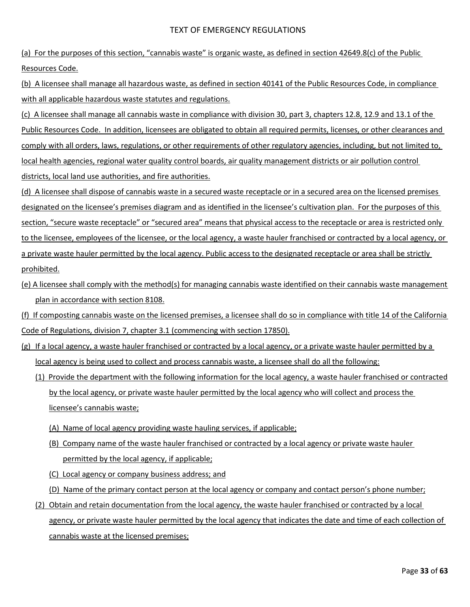(a) For the purposes of this section, "cannabis waste" is organic waste, as defined in section 42649.8(c) of the Public Resources Code.

(b) A licensee shall manage all hazardous waste, as defined in section 40141 of the Public Resources Code, in compliance with all applicable hazardous waste statutes and regulations.

(c) A licensee shall manage all cannabis waste in compliance with division 30, part 3, chapters 12.8, 12.9 and 13.1 of the Public Resources Code. In addition, licensees are obligated to obtain all required permits, licenses, or other clearances and comply with all orders, laws, regulations, or other requirements of other regulatory agencies, including, but not limited to, local health agencies, regional water quality control boards, air quality management districts or air pollution control districts, local land use authorities, and fire authorities.

(d) A licensee shall dispose of cannabis waste in a secured waste receptacle or in a secured area on the licensed premises designated on the licensee's premises diagram and as identified in the licensee's cultivation plan. For the purposes of this section, "secure waste receptacle" or "secured area" means that physical access to the receptacle or area is restricted only to the licensee, employees of the licensee, or the local agency, a waste hauler franchised or contracted by a local agency, or a private waste hauler permitted by the local agency. Public access to the designated receptacle or area shall be strictly prohibited.

- (e) A licensee shall comply with the method(s) for managing cannabis waste identified on their cannabis waste management plan in accordance with section 8108.
- (f) If composting cannabis waste on the licensed premises, a licensee shall do so in compliance with title 14 of the California Code of Regulations, division 7, chapter 3.1 (commencing with section 17850).
- (g) If a local agency, a waste hauler franchised or contracted by a local agency, or a private waste hauler permitted by a local agency is being used to collect and process cannabis waste, a licensee shall do all the following:
	- (1) Provide the department with the following information for the local agency, a waste hauler franchised or contracted by the local agency, or private waste hauler permitted by the local agency who will collect and process the licensee's cannabis waste;
		- (A) Name of local agency providing waste hauling services, if applicable;
		- (B) Company name of the waste hauler franchised or contracted by a local agency or private waste hauler permitted by the local agency, if applicable;
		- (C) Local agency or company business address; and
		- (D) Name of the primary contact person at the local agency or company and contact person's phone number;
	- (2) Obtain and retain documentation from the local agency, the waste hauler franchised or contracted by a local agency, or private waste hauler permitted by the local agency that indicates the date and time of each collection of cannabis waste at the licensed premises;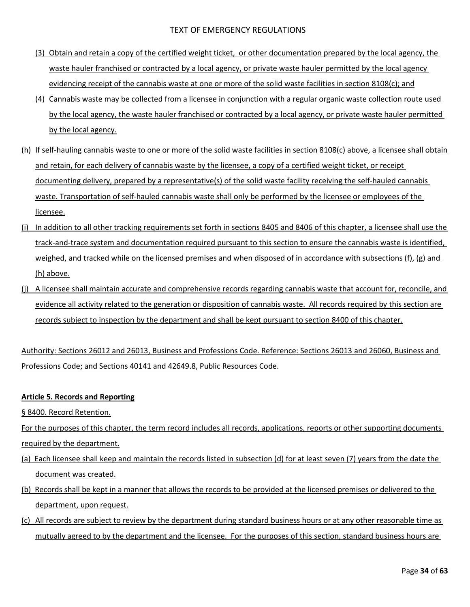- (3) Obtain and retain a copy of the certified weight ticket, or other documentation prepared by the local agency, the waste hauler franchised or contracted by a local agency, or private waste hauler permitted by the local agency evidencing receipt of the cannabis waste at one or more of the solid waste facilities in section 8108(c); and
- (4) Cannabis waste may be collected from a licensee in conjunction with a regular organic waste collection route used by the local agency, the waste hauler franchised or contracted by a local agency, or private waste hauler permitted by the local agency.
- (h) If self-hauling cannabis waste to one or more of the solid waste facilities in section 8108(c) above, a licensee shall obtain and retain, for each delivery of cannabis waste by the licensee, a copy of a certified weight ticket, or receipt documenting delivery, prepared by a representative(s) of the solid waste facility receiving the self-hauled cannabis waste. Transportation of self-hauled cannabis waste shall only be performed by the licensee or employees of the licensee.
- (i) In addition to all other tracking requirements set forth in sections 8405 and 8406 of this chapter, a licensee shall use the track-and-trace system and documentation required pursuant to this section to ensure the cannabis waste is identified, weighed, and tracked while on the licensed premises and when disposed of in accordance with subsections (f), (g) and (h) above.
- (j) A licensee shall maintain accurate and comprehensive records regarding cannabis waste that account for, reconcile, and evidence all activity related to the generation or disposition of cannabis waste. All records required by this section are records subject to inspection by the department and shall be kept pursuant to section 8400 of this chapter.

Authority: Sections 26012 and 26013, Business and Professions Code. Reference: Sections 26013 and 26060, Business and Professions Code; and Sections 40141 and 42649.8, Public Resources Code.

# <span id="page-35-0"></span>**[Article 5. Records and Reporting](#page-0-0)**

<span id="page-35-1"></span>[§ 8400. Record Retention.](#page-0-0)

For the purposes of this chapter, the term record includes all records, applications, reports or other supporting documents required by the department.

- (a) Each licensee shall keep and maintain the records listed in subsection (d) for at least seven (7) years from the date the document was created.
- (b) Records shall be kept in a manner that allows the records to be provided at the licensed premises or delivered to the department, upon request.
- (c) All records are subject to review by the department during standard business hours or at any other reasonable time as mutually agreed to by the department and the licensee. For the purposes of this section, standard business hours are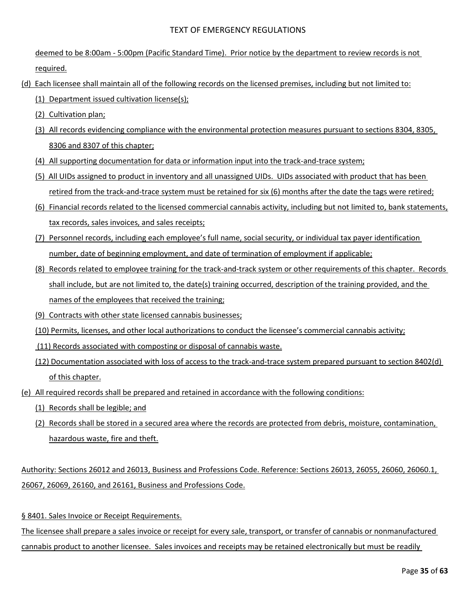deemed to be 8:00am - 5:00pm (Pacific Standard Time). Prior notice by the department to review records is not required.

- (d) Each licensee shall maintain all of the following records on the licensed premises, including but not limited to:
	- (1) Department issued cultivation license(s);
	- (2) Cultivation plan;
	- (3) All records evidencing compliance with the environmental protection measures pursuant to sections 8304, 8305, 8306 and 8307 of this chapter;
	- (4) All supporting documentation for data or information input into the track-and-trace system;
	- (5) All UIDs assigned to product in inventory and all unassigned UIDs. UIDs associated with product that has been retired from the track-and-trace system must be retained for six (6) months after the date the tags were retired;
	- (6) Financial records related to the licensed commercial cannabis activity, including but not limited to, bank statements, tax records, sales invoices, and sales receipts;
	- (7) Personnel records, including each employee's full name, social security, or individual tax payer identification number, date of beginning employment, and date of termination of employment if applicable;
	- (8) Records related to employee training for the track-and-track system or other requirements of this chapter. Records shall include, but are not limited to, the date(s) training occurred, description of the training provided, and the names of the employees that received the training;
	- (9) Contracts with other state licensed cannabis businesses;
	- (10) Permits, licenses, and other local authorizations to conduct the licensee's commercial cannabis activity;
	- (11) Records associated with composting or disposal of cannabis waste.
	- (12) Documentation associated with loss of access to the track-and-trace system prepared pursuant to section 8402(d) of this chapter.
- (e) All required records shall be prepared and retained in accordance with the following conditions:
	- (1) Records shall be legible; and
	- (2) Records shall be stored in a secured area where the records are protected from debris, moisture, contamination, hazardous waste, fire and theft.

Authority: Sections 26012 and 26013, Business and Professions Code. Reference: Sections 26013, 26055, 26060, 26060.1, 26067, 26069, 26160, and 26161, Business and Professions Code.

<span id="page-36-0"></span>§ [8401. Sales Invoice or Receipt Requirements.](#page-0-0)

The licensee shall prepare a sales invoice or receipt for every sale, transport, or transfer of cannabis or nonmanufactured cannabis product to another licensee. Sales invoices and receipts may be retained electronically but must be readily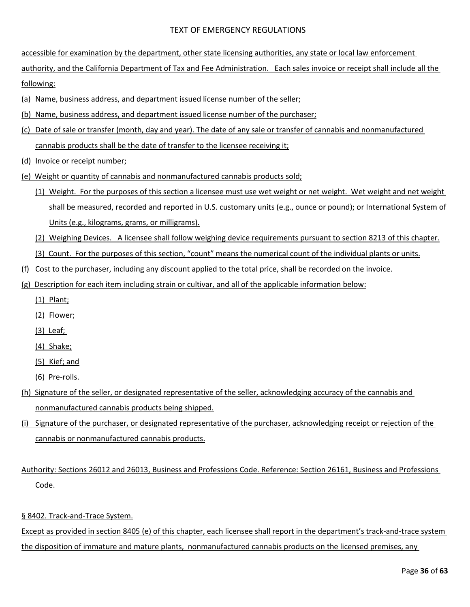accessible for examination by the department, other state licensing authorities, any state or local law enforcement authority, and the California Department of Tax and Fee Administration. Each sales invoice or receipt shall include all the following:

- (a) Name, business address, and department issued license number of the seller;
- (b) Name, business address, and department issued license number of the purchaser;
- (c) Date of sale or transfer (month, day and year). The date of any sale or transfer of cannabis and nonmanufactured cannabis products shall be the date of transfer to the licensee receiving it;
- (d) Invoice or receipt number;
- (e) Weight or quantity of cannabis and nonmanufactured cannabis products sold;
	- (1) Weight. For the purposes of this section a licensee must use wet weight or net weight. Wet weight and net weight shall be measured, recorded and reported in U.S. customary units (e.g., ounce or pound); or International System of Units (e.g., kilograms, grams, or milligrams).
	- (2) Weighing Devices. A licensee shall follow weighing device requirements pursuant to section 8213 of this chapter.
	- (3) Count. For the purposes of this section, "count" means the numerical count of the individual plants or units.
- (f) Cost to the purchaser, including any discount applied to the total price, shall be recorded on the invoice.
- (g) Description for each item including strain or cultivar, and all of the applicable information below:
	- (1) Plant;
	- (2) Flower;
	- (3) Leaf;
	- (4) Shake;
	- (5) Kief; and
	- (6) Pre-rolls.
- (h) Signature of the seller, or designated representative of the seller, acknowledging accuracy of the cannabis and nonmanufactured cannabis products being shipped.
- (i) Signature of the purchaser, or designated representative of the purchaser, acknowledging receipt or rejection of the cannabis or nonmanufactured cannabis products.

Authority: Sections 26012 and 26013, Business and Professions Code. Reference: Section 26161, Business and Professions Code.

#### <span id="page-37-0"></span>[§ 8402. Track-and-Trace System.](#page-0-0)

Except as provided in section 8405 (e) of this chapter, each licensee shall report in the department's track-and-trace system the disposition of immature and mature plants, nonmanufactured cannabis products on the licensed premises, any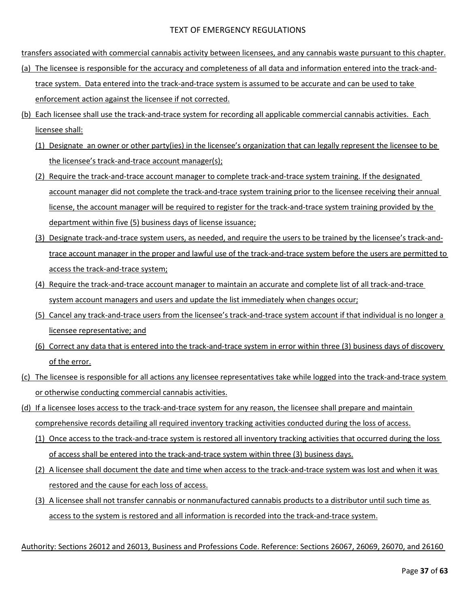transfers associated with commercial cannabis activity between licensees, and any cannabis waste pursuant to this chapter.

- (a) The licensee is responsible for the accuracy and completeness of all data and information entered into the track-andtrace system. Data entered into the track-and-trace system is assumed to be accurate and can be used to take enforcement action against the licensee if not corrected.
- (b) Each licensee shall use the track-and-trace system for recording all applicable commercial cannabis activities. Each licensee shall:
	- (1) Designate an owner or other party(ies) in the licensee's organization that can legally represent the licensee to be the licensee's track-and-trace account manager(s);
	- (2) Require the track-and-trace account manager to complete track-and-trace system training. If the designated account manager did not complete the track-and-trace system training prior to the licensee receiving their annual license, the account manager will be required to register for the track-and-trace system training provided by the department within five (5) business days of license issuance;
	- (3) Designate track-and-trace system users, as needed, and require the users to be trained by the licensee's track-andtrace account manager in the proper and lawful use of the track-and-trace system before the users are permitted to access the track-and-trace system;
	- (4) Require the track-and-trace account manager to maintain an accurate and complete list of all track-and-trace system account managers and users and update the list immediately when changes occur;
	- (5) Cancel any track-and-trace users from the licensee's track-and-trace system account if that individual is no longer a licensee representative; and
	- (6) Correct any data that is entered into the track-and-trace system in error within three (3) business days of discovery of the error.
- (c) The licensee is responsible for all actions any licensee representatives take while logged into the track-and-trace system or otherwise conducting commercial cannabis activities.
- (d) If a licensee loses access to the track-and-trace system for any reason, the licensee shall prepare and maintain comprehensive records detailing all required inventory tracking activities conducted during the loss of access.
	- (1) Once access to the track-and-trace system is restored all inventory tracking activities that occurred during the loss of access shall be entered into the track-and-trace system within three (3) business days.
	- (2) A licensee shall document the date and time when access to the track-and-trace system was lost and when it was restored and the cause for each loss of access.
	- (3) A licensee shall not transfer cannabis or nonmanufactured cannabis products to a distributor until such time as access to the system is restored and all information is recorded into the track-and-trace system.

Authority: Sections 26012 and 26013, Business and Professions Code. Reference: Sections 26067, 26069, 26070, and 26160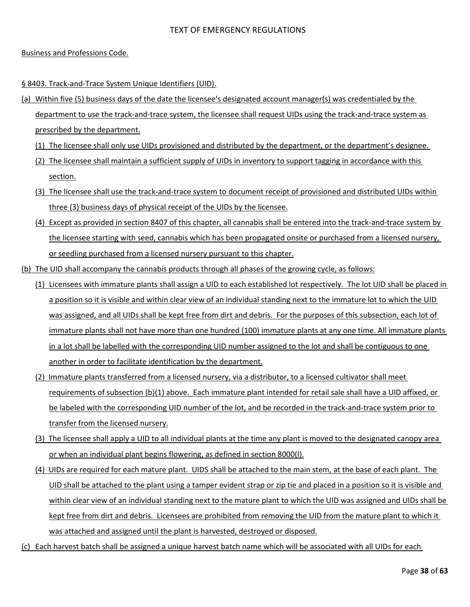#### Business and Professions Code.

<span id="page-39-0"></span>[§ 8403. Track-and-Trace System Unique Identifiers \(UID\).](#page-0-0)

- (a) Within five (5) business days of the date the licensee's designated account manager(s) was credentialed by the department to use the track-and-trace system, the licensee shall request UIDs using the track-and-trace system as prescribed by the department.
	- (1) The licensee shall only use UIDs provisioned and distributed by the department, or the department's designee.
	- (2) The licensee shall maintain a sufficient supply of UIDs in inventory to support tagging in accordance with this section.
	- (3) The licensee shall use the track-and-trace system to document receipt of provisioned and distributed UIDs within three (3) business days of physical receipt of the UIDs by the licensee.
	- (4) Except as provided in section 8407 of this chapter, all cannabis shall be entered into the track-and-trace system by the licensee starting with seed, cannabis which has been propagated onsite or purchased from a licensed nursery, or seedling purchased from a licensed nursery pursuant to this chapter.
- (b) The UID shall accompany the cannabis products through all phases of the growing cycle, as follows:
	- (1) Licensees with immature plants shall assign a UID to each established lot respectively. The lot UID shall be placed in a position so it is visible and within clear view of an individual standing next to the immature lot to which the UID was assigned, and all UIDs shall be kept free from dirt and debris. For the purposes of this subsection, each lot of immature plants shall not have more than one hundred (100) immature plants at any one time. All immature plants in a lot shall be labelled with the corresponding UID number assigned to the lot and shall be contiguous to one another in order to facilitate identification by the department.
	- (2) Immature plants transferred from a licensed nursery, via a distributor, to a licensed cultivator shall meet requirements of subsection (b)(1) above. Each immature plant intended for retail sale shall have a UID affixed, or be labeled with the corresponding UID number of the lot, and be recorded in the track-and-trace system prior to transfer from the licensed nursery.
	- (3) The licensee shall apply a UID to all individual plants at the time any plant is moved to the designated canopy area or when an individual plant begins flowering, as defined in section 8000(l).
	- (4) UIDs are required for each mature plant. UIDS shall be attached to the main stem, at the base of each plant. The UID shall be attached to the plant using a tamper evident strap or zip tie and placed in a position so it is visible and within clear view of an individual standing next to the mature plant to which the UID was assigned and UIDs shall be kept free from dirt and debris. Licensees are prohibited from removing the UID from the mature plant to which it was attached and assigned until the plant is harvested, destroyed or disposed.
- (c) Each harvest batch shall be assigned a unique harvest batch name which will be associated with all UIDs for each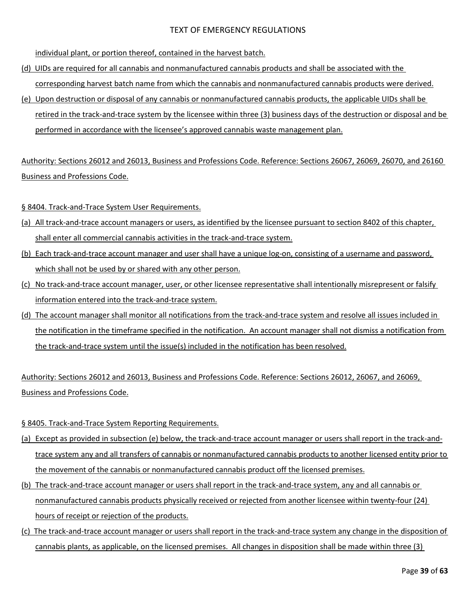individual plant, or portion thereof, contained in the harvest batch.

- (d) UIDs are required for all cannabis and nonmanufactured cannabis products and shall be associated with the corresponding harvest batch name from which the cannabis and nonmanufactured cannabis products were derived.
- (e) Upon destruction or disposal of any cannabis or nonmanufactured cannabis products, the applicable UIDs shall be retired in the track-and-trace system by the licensee within three (3) business days of the destruction or disposal and be performed in accordance with the licensee's approved cannabis waste management plan.

Authority: Sections 26012 and 26013, Business and Professions Code. Reference: Sections 26067, 26069, 26070, and 26160 Business and Professions Code.

#### <span id="page-40-0"></span>[§ 8404. Track-and-Trace System User Requirements.](#page-0-0)

- (a) All track-and-trace account managers or users, as identified by the licensee pursuant to section 8402 of this chapter, shall enter all commercial cannabis activities in the track-and-trace system.
- (b) Each track-and-trace account manager and user shall have a unique log-on, consisting of a username and password, which shall not be used by or shared with any other person.
- (c) No track-and-trace account manager, user, or other licensee representative shall intentionally misrepresent or falsify information entered into the track-and-trace system.
- (d) The account manager shall monitor all notifications from the track-and-trace system and resolve all issues included in the notification in the timeframe specified in the notification. An account manager shall not dismiss a notification from the track-and-trace system until the issue(s) included in the notification has been resolved.

Authority: Sections 26012 and 26013, Business and Professions Code. Reference: Sections 26012, 26067, and 26069, Business and Professions Code.

# <span id="page-40-1"></span>[§ 8405. Track-and-Trace System Reporting Requirements.](#page-0-0)

- (a) Except as provided in subsection (e) below, the track-and-trace account manager or users shall report in the track-andtrace system any and all transfers of cannabis or nonmanufactured cannabis products to another licensed entity prior to the movement of the cannabis or nonmanufactured cannabis product off the licensed premises.
- (b) The track-and-trace account manager or users shall report in the track-and-trace system, any and all cannabis or nonmanufactured cannabis products physically received or rejected from another licensee within twenty-four (24) hours of receipt or rejection of the products.
- (c) The track-and-trace account manager or users shall report in the track-and-trace system any change in the disposition of cannabis plants, as applicable, on the licensed premises. All changes in disposition shall be made within three (3)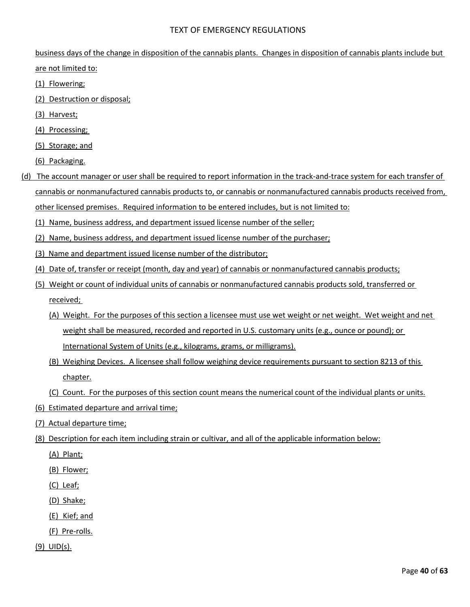business days of the change in disposition of the cannabis plants. Changes in disposition of cannabis plants include but are not limited to:

- (1) Flowering;
- (2) Destruction or disposal;
- (3) Harvest;
- (4) Processing;
- (5) Storage; and
- (6) Packaging.
- (d) The account manager or user shall be required to report information in the track-and-trace system for each transfer of cannabis or nonmanufactured cannabis products to, or cannabis or nonmanufactured cannabis products received from, other licensed premises. Required information to be entered includes, but is not limited to:
	- (1) Name, business address, and department issued license number of the seller;
	- (2) Name, business address, and department issued license number of the purchaser;
	- (3) Name and department issued license number of the distributor;
	- (4) Date of, transfer or receipt (month, day and year) of cannabis or nonmanufactured cannabis products;
	- (5) Weight or count of individual units of cannabis or nonmanufactured cannabis products sold, transferred or received;
		- (A) Weight. For the purposes of this section a licensee must use wet weight or net weight. Wet weight and net weight shall be measured, recorded and reported in U.S. customary units (e.g., ounce or pound); or International System of Units (e.g., kilograms, grams, or milligrams).
		- (B) Weighing Devices. A licensee shall follow weighing device requirements pursuant to section 8213 of this chapter.
		- (C) Count. For the purposes of this section count means the numerical count of the individual plants or units.
	- (6) Estimated departure and arrival time;
	- (7) Actual departure time;
	- (8) Description for each item including strain or cultivar, and all of the applicable information below:
		- (A) Plant;
		- (B) Flower;
		- (C) Leaf;
		- (D) Shake;
		- (E) Kief; and
		- (F) Pre-rolls.
	- $(9)$  UID $(s)$ .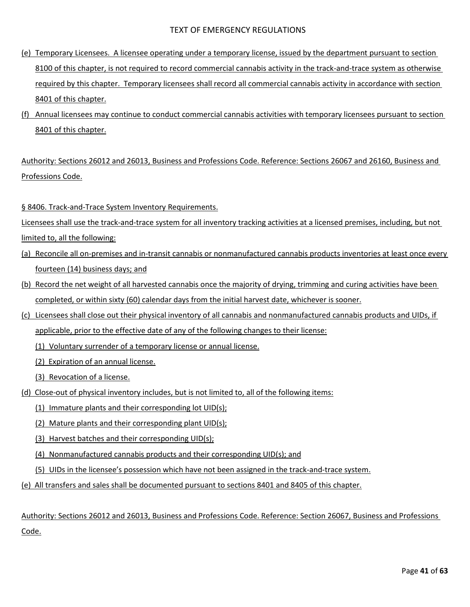- (e) Temporary Licensees. A licensee operating under a temporary license, issued by the department pursuant to section 8100 of this chapter, is not required to record commercial cannabis activity in the track-and-trace system as otherwise required by this chapter. Temporary licensees shall record all commercial cannabis activity in accordance with section 8401 of this chapter.
- (f) Annual licensees may continue to conduct commercial cannabis activities with temporary licensees pursuant to section 8401 of this chapter.

Authority: Sections 26012 and 26013, Business and Professions Code. Reference: Sections 26067 and 26160, Business and Professions Code.

<span id="page-42-0"></span>[§ 8406. Track-and-Trace System Inventory Requirements.](#page-0-0)

Licensees shall use the track-and-trace system for all inventory tracking activities at a licensed premises, including, but not limited to, all the following:

- (a) Reconcile all on-premises and in-transit cannabis or nonmanufactured cannabis products inventories at least once every fourteen (14) business days; and
- (b) Record the net weight of all harvested cannabis once the majority of drying, trimming and curing activities have been completed, or within sixty (60) calendar days from the initial harvest date, whichever is sooner.
- (c) Licensees shall close out their physical inventory of all cannabis and nonmanufactured cannabis products and UIDs, if applicable, prior to the effective date of any of the following changes to their license:
	- (1) Voluntary surrender of a temporary license or annual license.
	- (2) Expiration of an annual license.
	- (3) Revocation of a license.
- (d) Close-out of physical inventory includes, but is not limited to, all of the following items:
	- (1) Immature plants and their corresponding lot UID(s);
	- (2) Mature plants and their corresponding plant UID(s);
	- (3) Harvest batches and their corresponding UID(s);
	- (4) Nonmanufactured cannabis products and their corresponding UID(s); and
	- (5) UIDs in the licensee's possession which have not been assigned in the track-and-trace system.

(e) All transfers and sales shall be documented pursuant to sections 8401 and 8405 of this chapter.

Authority: Sections 26012 and 26013, Business and Professions Code. Reference: Section 26067, Business and Professions Code.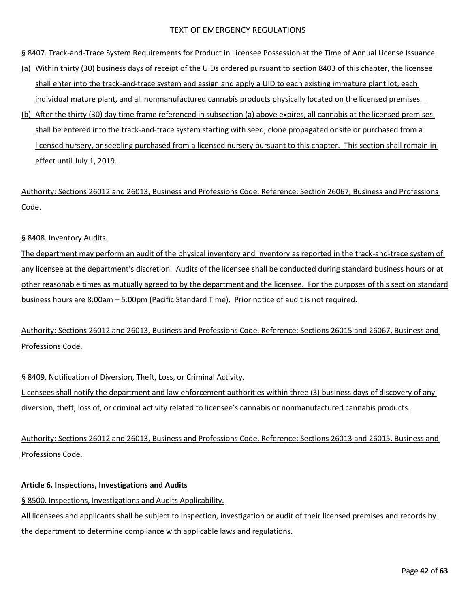<span id="page-43-0"></span>[§ 8407. Track-and-Trace System Requirements for Product in Licensee Possession at the Time of Annual License Issuance.](#page-0-0)

- (a) Within thirty (30) business days of receipt of the UIDs ordered pursuant to section 8403 of this chapter, the licensee shall enter into the track-and-trace system and assign and apply a UID to each existing immature plant lot, each individual mature plant, and all nonmanufactured cannabis products physically located on the licensed premises.
- (b) After the thirty (30) day time frame referenced in subsection (a) above expires, all cannabis at the licensed premises shall be entered into the track-and-trace system starting with seed, clone propagated onsite or purchased from a licensed nursery, or seedling purchased from a licensed nursery pursuant to this chapter. This section shall remain in effect until July 1, 2019.

Authority: Sections 26012 and 26013, Business and Professions Code. Reference: Section 26067, Business and Professions Code.

#### <span id="page-43-1"></span>[§ 8408. Inventory Audits.](#page-0-0)

The department may perform an audit of the physical inventory and inventory as reported in the track-and-trace system of any licensee at the department's discretion. Audits of the licensee shall be conducted during standard business hours or at other reasonable times as mutually agreed to by the department and the licensee. For the purposes of this section standard business hours are 8:00am – 5:00pm (Pacific Standard Time). Prior notice of audit is not required.

Authority: Sections 26012 and 26013, Business and Professions Code. Reference: Sections 26015 and 26067, Business and Professions Code.

<span id="page-43-2"></span>[§ 8409. Notification of Diversion, Theft, Loss, or Criminal Activity.](#page-0-0) Licensees shall notify the department and law enforcement authorities within three (3) business days of discovery of any diversion, theft, loss of, or criminal activity related to licensee's cannabis or nonmanufactured cannabis products.

Authority: Sections 26012 and 26013, Business and Professions Code. Reference: Sections 26013 and 26015, Business and Professions Code.

# <span id="page-43-3"></span>**[Article 6. Inspections, Investigations and Audits](#page-0-0)**

<span id="page-43-4"></span>[§ 8500. Inspections, Investigations and Audits Applicability.](#page-0-0)

All licensees and applicants shall be subject to inspection, investigation or audit of their licensed premises and records by the department to determine compliance with applicable laws and regulations.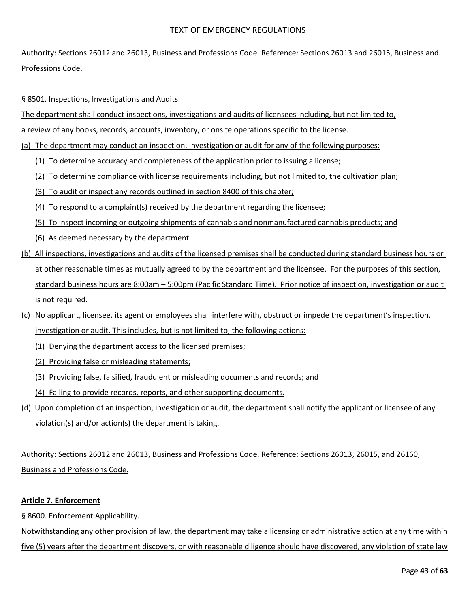Authority: Sections 26012 and 26013, Business and Professions Code. Reference: Sections 26013 and 26015, Business and Professions Code.

<span id="page-44-0"></span>[§ 8501. Inspections, Investigations and Audits.](#page-0-0)

The department shall conduct inspections, investigations and audits of licensees including, but not limited to,

a review of any books, records, accounts, inventory, or onsite operations specific to the license.

- (a) The department may conduct an inspection, investigation or audit for any of the following purposes:
	- (1) To determine accuracy and completeness of the application prior to issuing a license;
	- (2) To determine compliance with license requirements including, but not limited to, the cultivation plan;
	- (3) To audit or inspect any records outlined in section 8400 of this chapter;
	- (4) To respond to a complaint(s) received by the department regarding the licensee;
	- (5) To inspect incoming or outgoing shipments of cannabis and nonmanufactured cannabis products; and
	- (6) As deemed necessary by the department.
- (b) All inspections, investigations and audits of the licensed premises shall be conducted during standard business hours or at other reasonable times as mutually agreed to by the department and the licensee. For the purposes of this section, standard business hours are 8:00am – 5:00pm (Pacific Standard Time). Prior notice of inspection, investigation or audit is not required.
- (c) No applicant, licensee, its agent or employees shall interfere with, obstruct or impede the department's inspection, investigation or audit. This includes, but is not limited to, the following actions:
	- (1) Denying the department access to the licensed premises;
	- (2) Providing false or misleading statements;
	- (3) Providing false, falsified, fraudulent or misleading documents and records; and
	- (4) Failing to provide records, reports, and other supporting documents.
- (d) Upon completion of an inspection, investigation or audit, the department shall notify the applicant or licensee of any violation(s) and/or action(s) the department is taking.

Authority: Sections 26012 and 26013, Business and Professions Code. Reference: Sections 26013, 26015, and 26160, Business and Professions Code.

#### <span id="page-44-1"></span>**[Article 7. Enforcement](#page-0-0)**

<span id="page-44-2"></span>[§ 8600. Enforcement Applicability.](#page-0-0)

Notwithstanding any other provision of law, the department may take a licensing or administrative action at any time within five (5) years after the department discovers, or with reasonable diligence should have discovered, any violation of state law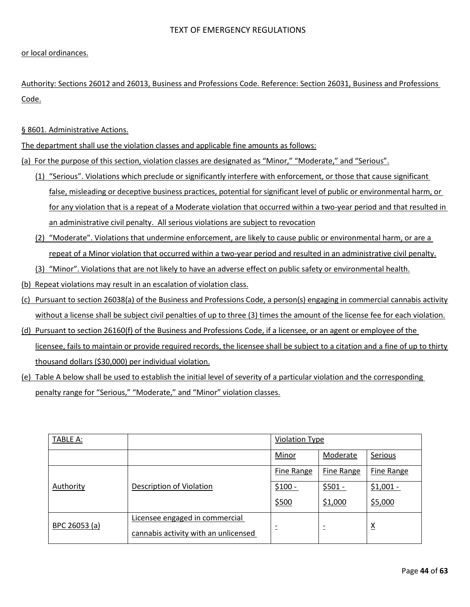or local ordinances.

Authority: Sections 26012 and 26013, Business and Professions Code. Reference: Section 26031, Business and Professions Code.

#### <span id="page-45-0"></span>[§ 8601. Administrative Actions.](#page-0-0)

The department shall use the violation classes and applicable fine amounts as follows:

- (a) For the purpose of this section, violation classes are designated as "Minor," "Moderate," and "Serious".
	- (1) "Serious". Violations which preclude or significantly interfere with enforcement, or those that cause significant false, misleading or deceptive business practices, potential for significant level of public or environmental harm, or for any violation that is a repeat of a Moderate violation that occurred within a two-year period and that resulted in an administrative civil penalty. All serious violations are subject to revocation
	- (2) "Moderate". Violations that undermine enforcement, are likely to cause public or environmental harm, or are a repeat of a Minor violation that occurred within a two-year period and resulted in an administrative civil penalty.
	- (3) "Minor". Violations that are not likely to have an adverse effect on public safety or environmental health.
- (b) Repeat violations may result in an escalation of violation class.
- (c) Pursuant to section 26038(a) of the Business and Professions Code, a person(s) engaging in commercial cannabis activity without a license shall be subject civil penalties of up to three (3) times the amount of the license fee for each violation.
- (d) Pursuant to section 26160(f) of the Business and Professions Code, if a licensee, or an agent or employee of the licensee, fails to maintain or provide required records, the licensee shall be subject to a citation and a fine of up to thirty thousand dollars (\$30,000) per individual violation.
- (e) Table A below shall be used to establish the initial level of severity of a particular violation and the corresponding penalty range for "Serious," "Moderate," and "Minor" violation classes.

| <b>TABLE A:</b> |                                      | <b>Violation Type</b> |            |                   |
|-----------------|--------------------------------------|-----------------------|------------|-------------------|
|                 |                                      | Minor                 | Moderate   | Serious           |
| Authority       | <b>Description of Violation</b>      | <b>Fine Range</b>     | Fine Range | <b>Fine Range</b> |
|                 |                                      | $$100 -$              | $$501 -$   | $$1,001 -$        |
|                 |                                      | \$500                 | \$1,000    | \$5,000           |
| BPC 26053 (a)   | Licensee engaged in commercial       |                       |            |                   |
|                 | cannabis activity with an unlicensed |                       |            | $\underline{X}$   |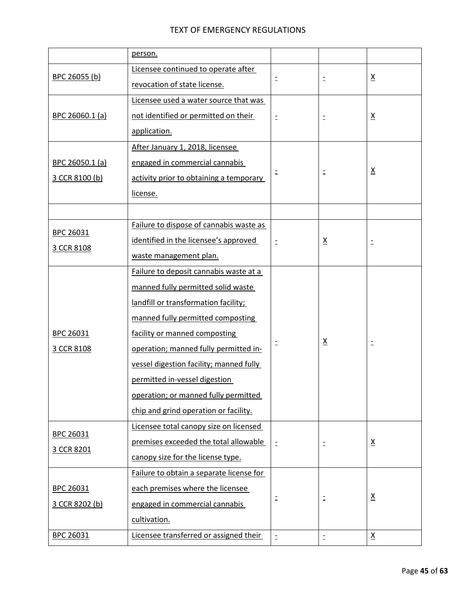|                 | person.                                  |                |                 |                          |
|-----------------|------------------------------------------|----------------|-----------------|--------------------------|
| BPC 26055 (b)   | Licensee continued to operate after      | $\overline{a}$ |                 |                          |
|                 | revocation of state license.             |                | Ξ               | $\underline{\mathsf{X}}$ |
|                 | Licensee used a water source that was    |                |                 |                          |
| BPC 26060.1 (a) | not identified or permitted on their     |                | Ξ               | $\underline{\mathsf{X}}$ |
|                 | application.                             |                |                 |                          |
|                 | After January 1, 2018, licensee          |                |                 |                          |
| BPC 26050.1 (a) | engaged in commercial cannabis           |                |                 |                          |
| 3 CCR 8100 (b)  | activity prior to obtaining a temporary  |                |                 | $\underline{\mathsf{X}}$ |
|                 | license.                                 |                |                 |                          |
|                 |                                          |                |                 |                          |
|                 | Failure to dispose of cannabis waste as  |                |                 |                          |
| BPC 26031       | identified in the licensee's approved    |                | <u>x</u>        | Ξ                        |
| 3 CCR 8108      | waste management plan.                   |                |                 |                          |
|                 | Failure to deposit cannabis waste at a   |                |                 |                          |
|                 | manned fully permitted solid waste       |                |                 |                          |
|                 | landfill or transformation facility;     |                |                 |                          |
|                 | manned fully permitted composting        |                |                 |                          |
| BPC 26031       | facility or manned composting            |                |                 |                          |
| 3 CCR 8108      | operation; manned fully permitted in-    |                | $\underline{X}$ | Ξ                        |
|                 | vessel digestion facility; manned fully  |                |                 |                          |
|                 | permitted in-vessel digestion            |                |                 |                          |
|                 | operation; or manned fully permitted     |                |                 |                          |
|                 | chip and grind operation or facility.    |                |                 |                          |
| BPC 26031       | Licensee total canopy size on licensed   |                |                 |                          |
| 3 CCR 8201      | premises exceeded the total allowable    |                |                 | <u>х</u>                 |
|                 | canopy size for the license type.        |                |                 |                          |
|                 | Failure to obtain a separate license for |                |                 |                          |
| BPC 26031       | each premises where the licensee         |                |                 |                          |
| 3 CCR 8202 (b)  | engaged in commercial cannabis           | Ξ              |                 | $\underline{X}$          |
|                 | cultivation.                             |                |                 |                          |
| BPC 26031       | Licensee transferred or assigned their   | $\pm$          |                 | $\underline{X}$          |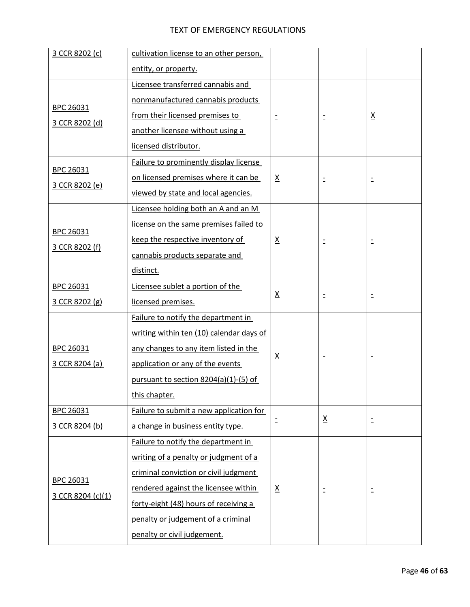| 3 CCR 8202 (c)                 | cultivation license to an other person,  |                 |                 |                 |
|--------------------------------|------------------------------------------|-----------------|-----------------|-----------------|
|                                | entity, or property.                     |                 |                 |                 |
|                                | Licensee transferred cannabis and        |                 |                 |                 |
|                                | nonmanufactured cannabis products        |                 |                 |                 |
| BPC 26031                      | from their licensed premises to          |                 | Ξ               | $\underline{X}$ |
| 3 CCR 8202 (d)                 | another licensee without using a         |                 |                 |                 |
|                                | licensed distributor.                    |                 |                 |                 |
| BPC 26031                      | Failure to prominently display license   |                 |                 |                 |
| 3 CCR 8202 (e)                 | on licensed premises where it can be     | $\underline{x}$ | Ξ               | Ξ               |
|                                | viewed by state and local agencies.      |                 |                 |                 |
|                                | Licensee holding both an A and an M      |                 |                 |                 |
| BPC 26031                      | license on the same premises failed to   |                 |                 |                 |
| 3 CCR 8202 (f)                 | keep the respective inventory of         | $\underline{X}$ | Ξ               | Ξ               |
|                                | cannabis products separate and           |                 |                 |                 |
|                                | distinct.                                |                 |                 |                 |
| BPC 26031                      | Licensee sublet a portion of the         | $\underline{X}$ |                 |                 |
| $3$ CCR 8202 (g)               | licensed premises.                       |                 |                 | Ξ               |
|                                | Failure to notify the department in      |                 |                 |                 |
|                                | writing within ten (10) calendar days of |                 |                 |                 |
| BPC 26031                      | any changes to any item listed in the    |                 |                 |                 |
| 3 CCR 8204 (a)                 | application or any of the events         | <u>х</u>        | Ξ               | Ξ               |
|                                | pursuant to section $8204(a)(1)-(5)$ of  |                 |                 |                 |
|                                | this chapter.                            |                 |                 |                 |
| BPC 26031                      | Failure to submit a new application for  |                 | $\underline{X}$ |                 |
| 3 CCR 8204 (b)                 | a change in business entity type.        |                 |                 | Ē               |
|                                | Failure to notify the department in      |                 |                 |                 |
| BPC 26031<br>3 CCR 8204 (c)(1) | writing of a penalty or judgment of a    |                 |                 |                 |
|                                | criminal conviction or civil judgment    |                 |                 |                 |
|                                | rendered against the licensee within     | $\underline{X}$ |                 | Ξ               |
|                                | forty-eight (48) hours of receiving a    |                 |                 |                 |
|                                | penalty or judgement of a criminal       |                 |                 |                 |
|                                | penalty or civil judgement.              |                 |                 |                 |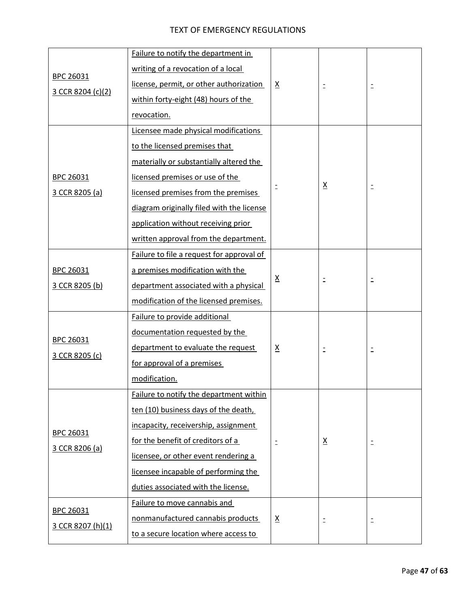|                                | Failure to notify the department in       |                 |          |   |  |
|--------------------------------|-------------------------------------------|-----------------|----------|---|--|
|                                | writing of a revocation of a local        |                 |          |   |  |
| BPC 26031<br>3 CCR 8204 (c)(2) | license, permit, or other authorization   | <u>X</u>        |          | Ξ |  |
|                                | within forty-eight (48) hours of the      |                 |          |   |  |
|                                | revocation.                               |                 |          |   |  |
|                                | Licensee made physical modifications      |                 |          |   |  |
|                                | to the licensed premises that             |                 |          |   |  |
|                                | materially or substantially altered the   |                 |          |   |  |
| BPC 26031                      | licensed premises or use of the           |                 |          |   |  |
| 3 CCR 8205 (a)                 | licensed premises from the premises       |                 | <u>x</u> | Ξ |  |
|                                | diagram originally filed with the license |                 |          |   |  |
|                                | application without receiving prior       |                 |          |   |  |
|                                | written approval from the department.     |                 |          |   |  |
|                                | Failure to file a request for approval of |                 |          |   |  |
| BPC 26031                      | a premises modification with the          | <u>X</u>        |          |   |  |
| 3 CCR 8205 (b)                 | department associated with a physical     |                 |          | Ξ |  |
|                                | modification of the licensed premises.    |                 |          |   |  |
|                                | Failure to provide additional             |                 |          |   |  |
| BPC 26031                      | documentation requested by the            |                 |          |   |  |
| 3 CCR 8205 (c)                 | department to evaluate the request        | $\underline{x}$ | Ξ        | Ξ |  |
|                                | for approval of a premises                |                 |          |   |  |
|                                | modification.                             |                 |          |   |  |
|                                | Failure to notify the department within   |                 |          |   |  |
|                                | ten (10) business days of the death,      |                 |          |   |  |
|                                | incapacity, receivership, assignment      |                 |          |   |  |
| BPC 26031                      | for the benefit of creditors of a         | $\bar{z}$       | <u>х</u> | Ξ |  |
| 3 CCR 8206 (a)                 | licensee, or other event rendering a      |                 |          |   |  |
|                                | licensee incapable of performing the      |                 |          |   |  |
|                                | duties associated with the license.       |                 |          |   |  |
|                                | Failure to move cannabis and              |                 |          |   |  |
| BPC 26031                      | nonmanufactured cannabis products         | $\underline{x}$ |          | Ξ |  |
| 3 CCR 8207 (h)(1)              | to a secure location where access to      |                 |          |   |  |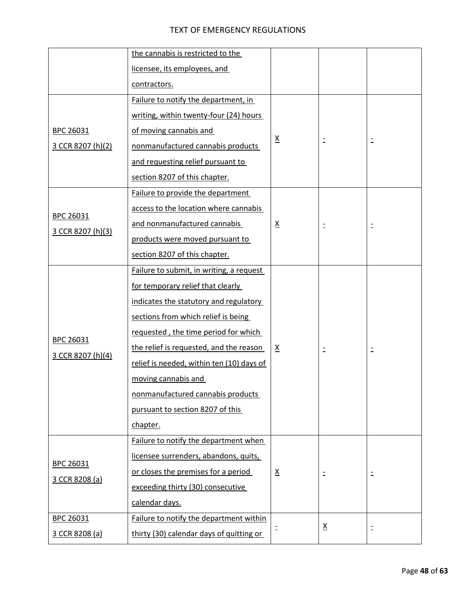|                             | the cannabis is restricted to the         |                 |          |   |
|-----------------------------|-------------------------------------------|-----------------|----------|---|
|                             | licensee, its employees, and              |                 |          |   |
|                             | contractors.                              |                 |          |   |
|                             | Failure to notify the department, in      |                 |          |   |
|                             | writing, within twenty-four (24) hours    |                 |          |   |
| BPC 26031                   | of moving cannabis and                    |                 |          |   |
| 3 CCR 8207 (h)(2)           | nonmanufactured cannabis products         | $\underline{X}$ | Ξ        | Ξ |
|                             | and requesting relief pursuant to         |                 |          |   |
|                             | section 8207 of this chapter.             |                 |          |   |
|                             | Failure to provide the department         |                 |          |   |
| BPC 26031                   | access to the location where cannabis     |                 |          |   |
|                             | and nonmanufactured cannabis              | $\underline{X}$ |          | Ξ |
| 3 CCR 8207 (h)(3)           | products were moved pursuant to           |                 |          |   |
|                             | section 8207 of this chapter.             |                 |          |   |
|                             | Failure to submit, in writing, a request  |                 |          |   |
|                             | for temporary relief that clearly         |                 |          |   |
|                             | indicates the statutory and regulatory    |                 |          |   |
|                             | sections from which relief is being       |                 |          |   |
|                             | requested, the time period for which      |                 |          |   |
| BPC 26031                   | the relief is requested, and the reason   | $\underline{X}$ | Ξ        | Ξ |
| 3 CCR 8207 (h)(4)           | relief is needed, within ten (10) days of |                 |          |   |
|                             | moving cannabis and                       |                 |          |   |
|                             | nonmanufactured cannabis products         |                 |          |   |
|                             | pursuant to section 8207 of this          |                 |          |   |
|                             | chapter.                                  |                 |          |   |
|                             | Failure to notify the department when     |                 |          |   |
|                             | licensee surrenders, abandons, quits,     |                 |          |   |
| BPC 26031<br>3 CCR 8208 (a) | or closes the premises for a period       | $\underline{X}$ | Ξ        | Ξ |
|                             | exceeding thirty (30) consecutive         |                 |          |   |
|                             | calendar days.                            |                 |          |   |
| BPC 26031                   | Failure to notify the department within   |                 |          |   |
| 3 CCR 8208 (a)              | thirty (30) calendar days of quitting or  |                 | <u>x</u> | Ξ |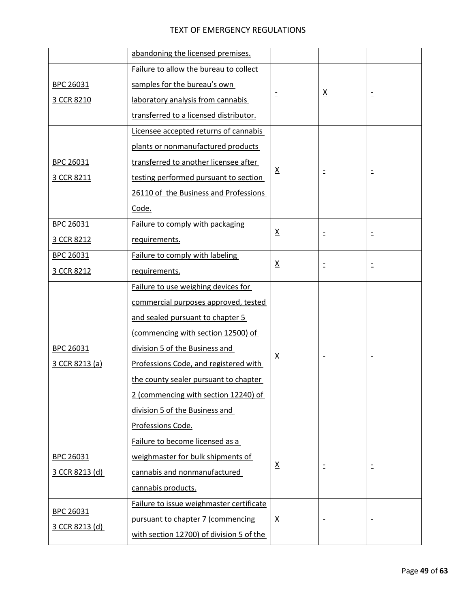|                             | abandoning the licensed premises.        |                 |                 |           |  |
|-----------------------------|------------------------------------------|-----------------|-----------------|-----------|--|
|                             | Failure to allow the bureau to collect   |                 |                 |           |  |
| BPC 26031                   | samples for the bureau's own             |                 |                 | $\equiv$  |  |
| 3 CCR 8210                  | laboratory analysis from cannabis        |                 | $\underline{X}$ |           |  |
|                             | transferred to a licensed distributor.   |                 |                 |           |  |
|                             | Licensee accepted returns of cannabis    |                 |                 |           |  |
|                             | plants or nonmanufactured products       |                 |                 |           |  |
| BPC 26031                   | transferred to another licensee after    |                 |                 |           |  |
| 3 CCR 8211                  | testing performed pursuant to section    | <u>х</u>        | Ξ               | Ξ         |  |
|                             | 26110 of the Business and Professions    |                 |                 |           |  |
|                             | Code.                                    |                 |                 |           |  |
| BPC 26031                   | Failure to comply with packaging         |                 |                 |           |  |
| 3 CCR 8212                  | requirements.                            | $\underline{X}$ | Ξ               | Ξ         |  |
| BPC 26031                   | Failure to comply with labeling          |                 |                 |           |  |
| 3 CCR 8212                  | requirements.                            | $\underline{X}$ |                 | Ξ         |  |
|                             | Failure to use weighing devices for      |                 |                 |           |  |
|                             | commercial purposes approved, tested     |                 |                 |           |  |
|                             | and sealed pursuant to chapter 5         |                 |                 |           |  |
|                             | (commencing with section 12500) of       |                 |                 |           |  |
| BPC 26031                   | division 5 of the Business and           |                 |                 |           |  |
| 3 CCR 8213 (a)              | Professions Code, and registered with    | $\underline{X}$ |                 | $\bar{z}$ |  |
|                             | the county sealer pursuant to chapter    |                 |                 |           |  |
|                             | 2 (commencing with section 12240) of     |                 |                 |           |  |
|                             | division 5 of the Business and           |                 |                 |           |  |
|                             | Professions Code.                        |                 |                 |           |  |
|                             | Failure to become licensed as a          |                 |                 |           |  |
| BPC 26031                   | weighmaster for bulk shipments of        |                 | Ξ               | $\bar{z}$ |  |
| 3 CCR 8213 (d)              | cannabis and nonmanufactured             | $\underline{X}$ |                 |           |  |
|                             | cannabis products.                       |                 |                 |           |  |
| BPC 26031<br>3 CCR 8213 (d) | Failure to issue weighmaster certificate |                 | Ξ<br>Ξ          |           |  |
|                             | pursuant to chapter 7 (commencing        | $\underline{X}$ |                 |           |  |
|                             | with section 12700) of division 5 of the |                 |                 |           |  |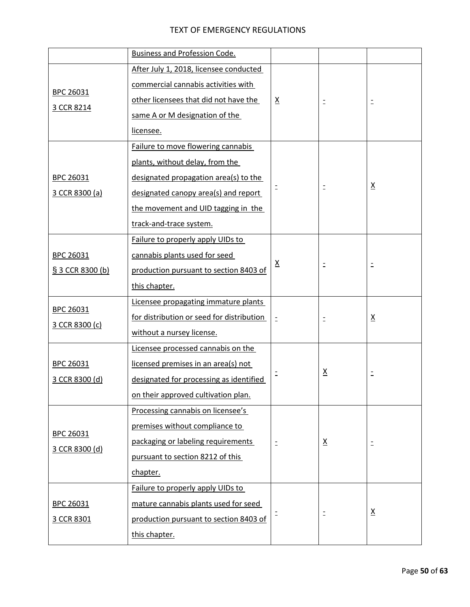|                     | <b>Business and Profession Code.</b>      |                 |                 |                 |
|---------------------|-------------------------------------------|-----------------|-----------------|-----------------|
|                     | After July 1, 2018, licensee conducted    |                 |                 |                 |
|                     | commercial cannabis activities with       |                 |                 |                 |
| BPC 26031           | other licensees that did not have the     | $\underline{X}$ | Ξ               | Ξ               |
| 3 CCR 8214          | same A or M designation of the            |                 |                 |                 |
|                     | licensee.                                 |                 |                 |                 |
|                     | Failure to move flowering cannabis        |                 |                 |                 |
|                     | plants, without delay, from the           |                 |                 |                 |
| BPC 26031           | designated propagation area(s) to the     |                 |                 |                 |
| 3 CCR 8300 (a)      | designated canopy area(s) and report      |                 |                 | $\underline{X}$ |
|                     | the movement and UID tagging in the       |                 |                 |                 |
|                     | track-and-trace system.                   |                 |                 |                 |
|                     | Failure to properly apply UIDs to         |                 |                 |                 |
| BPC 26031           | cannabis plants used for seed             |                 |                 |                 |
| $\S$ 3 CCR 8300 (b) | production pursuant to section 8403 of    | $\underline{X}$ |                 |                 |
|                     | this chapter.                             |                 |                 |                 |
| BPC 26031           | Licensee propagating immature plants      |                 |                 |                 |
| 3 CCR 8300 (c)      | for distribution or seed for distribution |                 |                 | $\underline{X}$ |
|                     | without a nursey license.                 |                 |                 |                 |
|                     | Licensee processed cannabis on the        |                 |                 |                 |
| BPC 26031           | licensed premises in an area(s) not       |                 |                 |                 |
| 3 CCR 8300 (d)      | designated for processing as identified   |                 | $\underline{x}$ | Ξ               |
|                     | on their approved cultivation plan.       |                 |                 |                 |
|                     | Processing cannabis on licensee's         |                 |                 |                 |
| BPC 26031           | premises without compliance to            |                 |                 |                 |
| 3 CCR 8300 (d)      | packaging or labeling requirements        |                 | $\underline{X}$ | Ξ               |
|                     | pursuant to section 8212 of this          |                 |                 |                 |
|                     | chapter.                                  |                 |                 |                 |
|                     | Failure to properly apply UIDs to         |                 |                 |                 |
| BPC 26031           | mature cannabis plants used for seed      |                 |                 |                 |
| 3 CCR 8301          | production pursuant to section 8403 of    |                 |                 | $\underline{X}$ |
|                     | this chapter.                             |                 |                 |                 |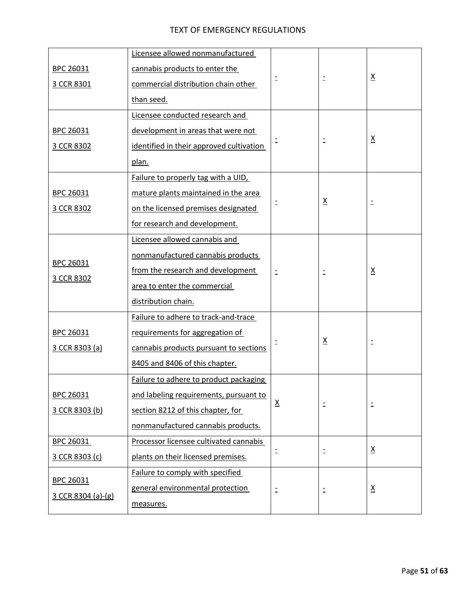|                    | Licensee allowed nonmanufactured         |                 |          |                 |
|--------------------|------------------------------------------|-----------------|----------|-----------------|
| BPC 26031          | cannabis products to enter the           | Ξ               |          | $\underline{X}$ |
| 3 CCR 8301         | commercial distribution chain other      |                 |          |                 |
|                    | than seed.                               |                 |          |                 |
|                    | Licensee conducted research and          |                 |          |                 |
| BPC 26031          | development in areas that were not       |                 |          |                 |
| 3 CCR 8302         | identified in their approved cultivation |                 |          | $\underline{X}$ |
|                    | plan.                                    |                 |          |                 |
|                    | Failure to properly tag with a UID,      |                 |          |                 |
| BPC 26031          | mature plants maintained in the area     |                 |          |                 |
| 3 CCR 8302         | on the licensed premises designated      |                 | <u>X</u> | Ξ               |
|                    | for research and development.            |                 |          |                 |
|                    | Licensee allowed cannabis and            |                 |          |                 |
|                    | nonmanufactured cannabis products        |                 |          |                 |
| BPC 26031          | from the research and development        |                 |          | $\underline{X}$ |
| 3 CCR 8302         | area to enter the commercial             |                 |          |                 |
|                    | distribution chain.                      |                 |          |                 |
|                    | Failure to adhere to track-and-trace     |                 |          |                 |
| BPC 26031          | requirements for aggregation of          |                 |          |                 |
| 3 CCR 8303 (a)     | cannabis products pursuant to sections   |                 | <u>X</u> |                 |
|                    | 8405 and 8406 of this chapter.           |                 |          |                 |
|                    | Failure to adhere to product packaging   |                 |          |                 |
| BPC 26031          | and labeling requirements, pursuant to   |                 |          |                 |
| 3 CCR 8303 (b)     | section 8212 of this chapter, for        | $\underline{X}$ |          | Ξ               |
|                    | nonmanufactured cannabis products.       |                 |          |                 |
| BPC 26031          | Processor licensee cultivated cannabis   |                 |          | $\underline{X}$ |
| 3 CCR 8303 (c)     | plants on their licensed premises.       | Ξ               | Ξ        |                 |
| BPC 26031          | Failure to comply with specified         |                 |          |                 |
|                    | general environmental protection         | Ξ               | Ξ        | $\underline{X}$ |
| 3 CCR 8304 (a)-(g) | measures.                                |                 |          |                 |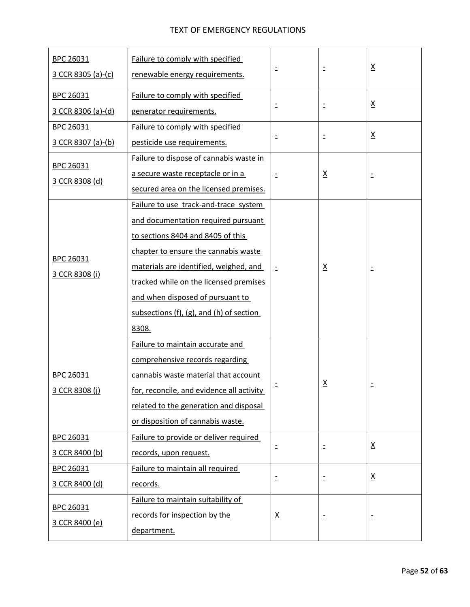| BPC 26031          | Failure to comply with specified          |                         |                 | $\underline{X}$ |
|--------------------|-------------------------------------------|-------------------------|-----------------|-----------------|
| 3 CCR 8305 (a)-(c) | renewable energy requirements.            |                         |                 |                 |
| BPC 26031          | Failure to comply with specified          |                         |                 | $\underline{X}$ |
| 3 CCR 8306 (a)-(d) | generator requirements.                   |                         | Ξ               |                 |
| BPC 26031          | Failure to comply with specified          |                         |                 | $\underline{X}$ |
| 3 CCR 8307 (a)-(b) | pesticide use requirements.               | Ξ                       | Ξ               |                 |
| BPC 26031          | Failure to dispose of cannabis waste in   |                         |                 |                 |
| 3 CCR 8308 (d)     | a secure waste receptacle or in a         |                         | <u>x</u>        | Ξ               |
|                    | secured area on the licensed premises.    |                         |                 |                 |
|                    | Failure to use track-and-trace system     |                         |                 |                 |
|                    | and documentation required pursuant       |                         |                 | Ξ               |
|                    | to sections 8404 and 8405 of this         |                         |                 |                 |
| BPC 26031          | chapter to ensure the cannabis waste      |                         | $\underline{X}$ |                 |
| 3 CCR 8308 (i)     | materials are identified, weighed, and    |                         |                 |                 |
|                    | tracked while on the licensed premises    |                         |                 |                 |
|                    | and when disposed of pursuant to          |                         |                 |                 |
|                    | subsections (f), (g), and (h) of section  |                         |                 |                 |
|                    | 8308.                                     |                         |                 |                 |
|                    | Failure to maintain accurate and          |                         | $\underline{X}$ | Ξ               |
|                    | comprehensive records regarding           |                         |                 |                 |
| BPC 26031          | cannabis waste material that account      |                         |                 |                 |
| 3 CCR 8308 (j)     | for, reconcile, and evidence all activity |                         |                 |                 |
|                    | related to the generation and disposal    |                         |                 |                 |
|                    | or disposition of cannabis waste.         |                         |                 |                 |
| BPC 26031          | Failure to provide or deliver required    |                         | Ξ               | $\underline{X}$ |
| 3 CCR 8400 (b)     | records, upon request.                    | Ξ                       |                 |                 |
| BPC 26031          | Failure to maintain all required          |                         | Ξ               | $\underline{X}$ |
| 3 CCR 8400 (d)     | records.                                  | Ξ                       |                 |                 |
| BPC 26031          | Failure to maintain suitability of        |                         |                 |                 |
| 3 CCR 8400 (e)     | records for inspection by the             | $\overline{\mathsf{X}}$ | Ξ               | Ξ               |
|                    | department.                               |                         |                 |                 |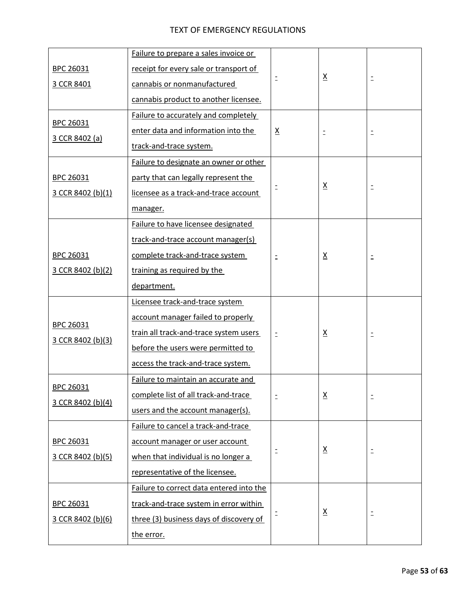|                   | Failure to prepare a sales invoice or    |                              |          |   |
|-------------------|------------------------------------------|------------------------------|----------|---|
| BPC 26031         | receipt for every sale or transport of   |                              |          |   |
| 3 CCR 8401        | cannabis or nonmanufactured              | $\qquad \qquad \blacksquare$ | <u>X</u> | Ξ |
|                   | cannabis product to another licensee.    |                              |          |   |
| BPC 26031         | Failure to accurately and completely     |                              |          |   |
| 3 CCR 8402 (a)    | enter data and information into the      | $\underline{X}$              | Ξ        | Ξ |
|                   | track-and-trace system.                  |                              |          |   |
|                   | Failure to designate an owner or other   |                              |          |   |
| BPC 26031         | party that can legally represent the     |                              |          |   |
| 3 CCR 8402 (b)(1) | licensee as a track-and-trace account    |                              | <u>X</u> |   |
|                   | manager.                                 |                              |          |   |
|                   | Failure to have licensee designated      |                              |          |   |
|                   | track-and-trace account manager(s)       |                              |          |   |
| BPC 26031         | complete track-and-trace system          |                              | <u>X</u> |   |
| 3 CCR 8402 (b)(2) | training as required by the              |                              |          |   |
|                   | department.                              |                              |          |   |
|                   | Licensee track-and-trace system          |                              |          |   |
|                   | account manager failed to properly       |                              |          |   |
| BPC 26031         | train all track-and-trace system users   |                              | <u>X</u> |   |
| 3 CCR 8402 (b)(3) | before the users were permitted to       |                              |          |   |
|                   | access the track-and-trace system.       |                              |          |   |
|                   | Failure to maintain an accurate and      |                              |          |   |
| BPC 26031         | complete list of all track-and-trace     |                              | <u>х</u> |   |
| 3 CCR 8402 (b)(4) | users and the account manager(s).        |                              |          |   |
|                   | Failure to cancel a track-and-trace      |                              |          |   |
| BPC 26031         | account manager or user account          |                              |          |   |
| 3 CCR 8402 (b)(5) | when that individual is no longer a      | Ξ                            | <u>X</u> | Ξ |
|                   | representative of the licensee.          |                              |          |   |
|                   | Failure to correct data entered into the |                              |          |   |
| BPC 26031         | track-and-trace system in error within   |                              |          |   |
| 3 CCR 8402 (b)(6) | three (3) business days of discovery of  |                              | <u>x</u> |   |
|                   | the error.                               |                              |          |   |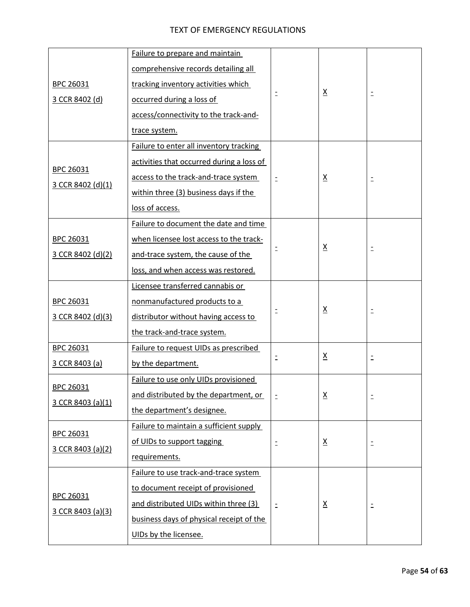|                     | Failure to prepare and maintain           |          |                 |   |
|---------------------|-------------------------------------------|----------|-----------------|---|
|                     | comprehensive records detailing all       |          |                 |   |
| BPC 26031           | tracking inventory activities which       |          |                 |   |
| 3 CCR 8402 (d)      | occurred during a loss of                 |          | $\underline{X}$ |   |
|                     | access/connectivity to the track-and-     |          |                 |   |
|                     | trace system.                             |          |                 |   |
|                     | Failure to enter all inventory tracking   |          |                 |   |
| BPC 26031           | activities that occurred during a loss of |          |                 |   |
| 3 CCR 8402 (d)(1)   | access to the track-and-trace system      |          | $\underline{X}$ | Ξ |
|                     | within three (3) business days if the     |          |                 |   |
|                     | loss of access.                           |          |                 |   |
|                     | Failure to document the date and time     |          |                 |   |
| BPC 26031           | when licensee lost access to the track-   |          | $\underline{X}$ |   |
| 3 CCR 8402 (d)(2)   | and-trace system, the cause of the        |          |                 | Ξ |
|                     | loss, and when access was restored.       |          |                 |   |
|                     | Licensee transferred cannabis or          |          |                 |   |
| BPC 26031           | nonmanufactured products to a             |          | $\underline{X}$ |   |
| 3 CCR 8402 (d)(3)   | distributor without having access to      |          |                 | Ξ |
|                     | the track-and-trace system.               |          |                 |   |
| BPC 26031           | Failure to request UIDs as prescribed     |          | <u>x</u>        |   |
| 3 CCR 8403 (a)      | by the department.                        | Ξ        |                 | Ξ |
| BPC 26031           | Failure to use only UIDs provisioned      |          |                 |   |
| $3$ CCR 8403 (a)(1) | and distributed by the department, or     |          | <u>х</u>        |   |
|                     | the department's designee.                |          |                 |   |
| BPC 26031           | Failure to maintain a sufficient supply   |          |                 |   |
| 3 CCR 8403 (a)(2)   | of UIDs to support tagging                | Ξ        | <u>х</u>        | Ξ |
|                     | requirements.                             |          |                 |   |
|                     | Failure to use track-and-trace system     |          |                 |   |
| BPC 26031           | to document receipt of provisioned        |          |                 |   |
| 3 CCR 8403 (a)(3)   | and distributed UIDs within three (3)     | $\equiv$ | $\underline{X}$ | Ξ |
|                     | business days of physical receipt of the  |          |                 |   |
|                     | UIDs by the licensee.                     |          |                 |   |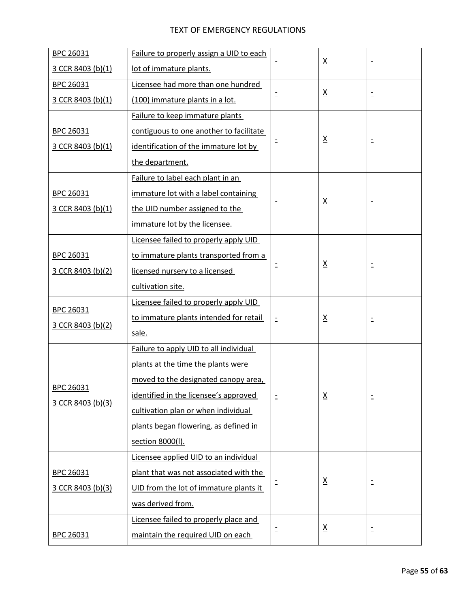| BPC 26031           | Failure to properly assign a UID to each |          | $\underline{X}$          | Ξ         |
|---------------------|------------------------------------------|----------|--------------------------|-----------|
| 3 CCR 8403 (b)(1)   | lot of immature plants.                  |          |                          |           |
| BPC 26031           | Licensee had more than one hundred       |          |                          |           |
| 3 CCR 8403 (b)(1)   | (100) immature plants in a lot.          |          | $\underline{\mathsf{X}}$ | Ξ         |
|                     | Failure to keep immature plants          |          |                          |           |
| BPC 26031           | contiguous to one another to facilitate  |          |                          |           |
| 3 CCR 8403 (b)(1)   | identification of the immature lot by    |          | $\underline{X}$          | Ξ         |
|                     | the department.                          |          |                          |           |
|                     | Failure to label each plant in an        |          |                          |           |
| BPC 26031           | immature lot with a label containing     |          |                          |           |
| $3$ CCR 8403 (b)(1) | the UID number assigned to the           |          | $\underline{X}$          | Ξ         |
|                     | immature lot by the licensee.            |          |                          |           |
|                     | Licensee failed to properly apply UID    |          |                          |           |
| BPC 26031           | to immature plants transported from a    |          | $\underline{X}$          | Ξ         |
| 3 CCR 8403 (b)(2)   | licensed nursery to a licensed           |          |                          |           |
|                     | cultivation site.                        |          |                          |           |
|                     | Licensee failed to properly apply UID    |          | <u>X</u>                 |           |
| BPC 26031           | to immature plants intended for retail   | $\equiv$ |                          | Ξ         |
| $3$ CCR 8403 (b)(2) | sale.                                    |          |                          |           |
|                     | Failure to apply UID to all individual   |          |                          |           |
|                     | plants at the time the plants were       |          |                          |           |
| <b>BPC 26031</b>    | moved to the designated canopy area,     |          |                          |           |
| 3 CCR 8403 (b)(3)   | identified in the licensee's approved    |          | <u>X</u>                 | Ξ         |
|                     | cultivation plan or when individual      |          |                          |           |
|                     | plants began flowering, as defined in    |          |                          |           |
|                     | section 8000(l).                         |          |                          |           |
|                     | Licensee applied UID to an individual    |          |                          |           |
| BPC 26031           | plant that was not associated with the   |          | <u>х</u>                 |           |
| 3 CCR 8403 (b)(3)   | UID from the lot of immature plants it   |          |                          | $\bar{z}$ |
|                     | was derived from.                        |          |                          |           |
|                     | Licensee failed to properly place and    |          |                          |           |
| BPC 26031           | maintain the required UID on each        | Ξ        | $\underline{X}$          | Ξ         |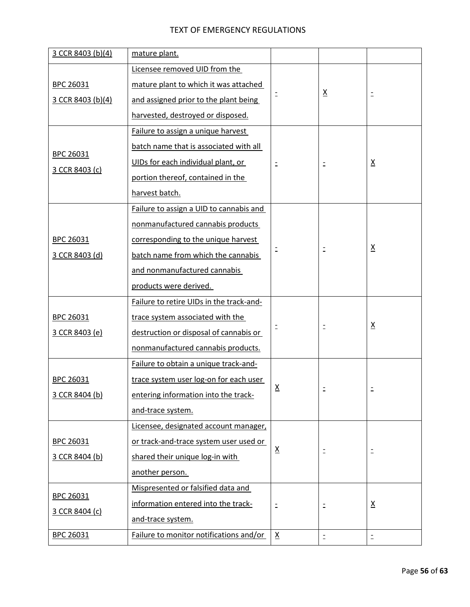| 3 CCR 8403 (b)(4) | mature plant.                            |                         |          |                          |
|-------------------|------------------------------------------|-------------------------|----------|--------------------------|
|                   | Licensee removed UID from the            |                         |          |                          |
| BPC 26031         | mature plant to which it was attached    |                         |          |                          |
| 3 CCR 8403 (b)(4) | and assigned prior to the plant being    |                         | <u>X</u> | Ξ                        |
|                   | harvested, destroyed or disposed.        |                         |          |                          |
|                   | Failure to assign a unique harvest       |                         |          |                          |
|                   | batch name that is associated with all   |                         |          |                          |
| BPC 26031         | UIDs for each individual plant, or       |                         |          | $\underline{\mathsf{X}}$ |
| 3 CCR 8403 (c)    | portion thereof, contained in the        |                         |          |                          |
|                   | harvest batch.                           |                         |          |                          |
|                   | Failure to assign a UID to cannabis and  |                         |          |                          |
|                   | nonmanufactured cannabis products        |                         |          |                          |
| BPC 26031         | corresponding to the unique harvest      |                         |          |                          |
| 3 CCR 8403 (d)    | batch name from which the cannabis       |                         | Ξ        | $\underline{X}$          |
|                   | and nonmanufactured cannabis             |                         |          |                          |
|                   | products were derived.                   |                         |          |                          |
|                   | Failure to retire UIDs in the track-and- |                         |          |                          |
| BPC 26031         | trace system associated with the         |                         |          |                          |
| 3 CCR 8403 (e)    | destruction or disposal of cannabis or   | Ξ                       | Ξ        | $\underline{\mathsf{X}}$ |
|                   | nonmanufactured cannabis products.       |                         |          |                          |
|                   | Failure to obtain a unique track-and-    |                         |          |                          |
| BPC 26031         | trace system user log-on for each user   |                         |          |                          |
| 3 CCR 8404 (b)    | entering information into the track-     | $\underline{X}$         |          |                          |
|                   | and-trace system.                        |                         |          |                          |
|                   | Licensee, designated account manager,    |                         |          |                          |
| BPC 26031         | or track-and-trace system user used or   |                         |          |                          |
| 3 CCR 8404 (b)    | shared their unique log-in with          | $\overline{\mathbf{X}}$ | Ξ        | Ξ                        |
|                   | another person.                          |                         |          |                          |
|                   | Mispresented or falsified data and       |                         |          |                          |
| BPC 26031         | information entered into the track-      | $\bar{\mathbb{Z}}$      |          | $\underline{X}$          |
| 3 CCR 8404 (c)    | and-trace system.                        |                         |          |                          |
| BPC 26031         | Failure to monitor notifications and/or  | $\underline{X}$         |          |                          |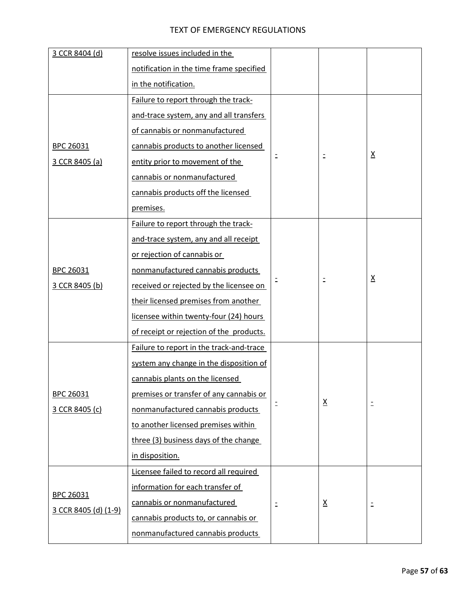| 3 CCR 8404 (d)       | resolve issues included in the           |   |                 |                 |
|----------------------|------------------------------------------|---|-----------------|-----------------|
|                      | notification in the time frame specified |   |                 |                 |
|                      | in the notification.                     |   |                 |                 |
|                      | Failure to report through the track-     |   |                 |                 |
|                      | and-trace system, any and all transfers  |   |                 |                 |
|                      | of cannabis or nonmanufactured           |   |                 |                 |
| BPC 26031            | cannabis products to another licensed    |   |                 |                 |
| 3 CCR 8405 (a)       | entity prior to movement of the          | Ξ |                 | $\underline{X}$ |
|                      | cannabis or nonmanufactured              |   |                 |                 |
|                      | cannabis products off the licensed       |   |                 |                 |
|                      | premises.                                |   |                 |                 |
|                      | Failure to report through the track-     |   |                 |                 |
|                      | and-trace system, any and all receipt    |   |                 |                 |
|                      | or rejection of cannabis or              |   |                 |                 |
| BPC 26031            | nonmanufactured cannabis products        |   | Ξ               |                 |
| 3 CCR 8405 (b)       | received or rejected by the licensee on  |   |                 | $\underline{X}$ |
|                      | their licensed premises from another     |   |                 |                 |
|                      | licensee within twenty-four (24) hours   |   |                 |                 |
|                      | of receipt or rejection of the products. |   |                 |                 |
|                      | Failure to report in the track-and-trace |   |                 |                 |
|                      | system any change in the disposition of  |   |                 |                 |
|                      | cannabis plants on the licensed          |   |                 |                 |
| BPC 26031            | premises or transfer of any cannabis or  |   | <u>X</u>        |                 |
| 3 CCR 8405 (c)       | nonmanufactured cannabis products        | Ξ |                 | Ξ               |
|                      | to another licensed premises within      |   |                 |                 |
|                      | three (3) business days of the change    |   |                 |                 |
|                      | in disposition.                          |   |                 |                 |
|                      | Licensee failed to record all required   |   |                 |                 |
| BPC 26031            | information for each transfer of         |   |                 |                 |
|                      | cannabis or nonmanufactured              | Ξ | $\underline{X}$ | Ξ               |
| 3 CCR 8405 (d) (1-9) | cannabis products to, or cannabis or     |   |                 |                 |
|                      | nonmanufactured cannabis products        |   |                 |                 |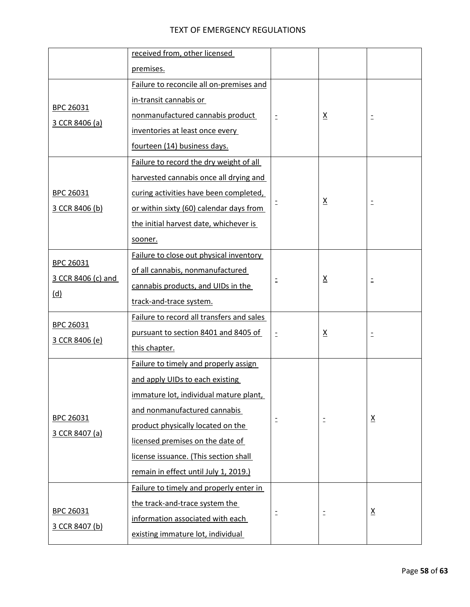|                    | received from, other licensed             |   |                 |                 |
|--------------------|-------------------------------------------|---|-----------------|-----------------|
|                    | premises.                                 |   |                 |                 |
|                    | Failure to reconcile all on-premises and  |   |                 | Ξ               |
| BPC 26031          | in-transit cannabis or                    |   |                 |                 |
| 3 CCR 8406 (a)     | nonmanufactured cannabis product          |   | $\underline{X}$ |                 |
|                    | inventories at least once every           |   |                 |                 |
|                    | fourteen (14) business days.              |   |                 |                 |
|                    | Failure to record the dry weight of all   |   |                 |                 |
|                    | harvested cannabis once all drying and    |   |                 | Ξ               |
| BPC 26031          | curing activities have been completed,    |   |                 |                 |
| 3 CCR 8406 (b)     | or within sixty (60) calendar days from   |   | $\underline{X}$ |                 |
|                    | the initial harvest date, whichever is    |   |                 |                 |
|                    | sooner.                                   |   |                 |                 |
| BPC 26031          | Failure to close out physical inventory   |   | $\underline{X}$ | Ξ               |
| 3 CCR 8406 (c) and | of all cannabis, nonmanufactured          |   |                 |                 |
| <u>(d)</u>         | cannabis products, and UIDs in the        |   |                 |                 |
|                    | track-and-trace system.                   |   |                 |                 |
| BPC 26031          | Failure to record all transfers and sales |   | <u>X</u>        | Ξ               |
| 3 CCR 8406 (e)     | pursuant to section 8401 and 8405 of      |   |                 |                 |
|                    | this chapter.                             |   |                 |                 |
|                    | Failure to timely and properly assign     |   |                 |                 |
|                    | and apply UIDs to each existing           |   |                 |                 |
|                    | immature lot, individual mature plant,    |   |                 |                 |
| BPC 26031          | and nonmanufactured cannabis              |   | Ξ               | $\underline{X}$ |
| 3 CCR 8407 (a)     | product physically located on the         | Ξ |                 |                 |
|                    | licensed premises on the date of          |   |                 |                 |
|                    | license issuance. (This section shall     |   |                 |                 |
|                    | remain in effect until July 1, 2019.)     |   |                 |                 |
|                    | Failure to timely and properly enter in   |   |                 |                 |
| BPC 26031          | the track-and-trace system the            |   |                 | $\underline{X}$ |
| 3 CCR 8407 (b)     | information associated with each          | Ξ |                 |                 |
|                    | existing immature lot, individual         |   |                 |                 |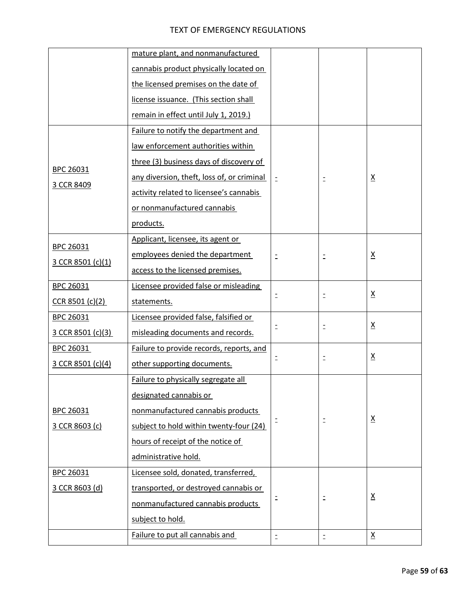|                   | mature plant, and nonmanufactured          |   |   |                          |
|-------------------|--------------------------------------------|---|---|--------------------------|
|                   | cannabis product physically located on     |   |   |                          |
|                   | the licensed premises on the date of       |   |   |                          |
|                   | license issuance. (This section shall      |   |   |                          |
|                   | remain in effect until July 1, 2019.)      |   |   |                          |
|                   | Failure to notify the department and       |   |   |                          |
|                   | law enforcement authorities within         |   |   |                          |
|                   | three (3) business days of discovery of    |   |   |                          |
| BPC 26031         | any diversion, theft, loss of, or criminal |   |   | $\underline{\mathsf{X}}$ |
| 3 CCR 8409        | activity related to licensee's cannabis    |   |   |                          |
|                   | or nonmanufactured cannabis                |   |   |                          |
|                   | products.                                  |   |   |                          |
|                   | Applicant, licensee, its agent or          |   |   |                          |
| BPC 26031         | employees denied the department            |   | Ξ | $\underline{\mathsf{X}}$ |
| 3 CCR 8501 (c)(1) | access to the licensed premises.           |   |   |                          |
| BPC 26031         | Licensee provided false or misleading      |   |   | $\underline{\mathsf{X}}$ |
| CCR 8501 (c)(2)   | statements.                                |   |   |                          |
| BPC 26031         | Licensee provided false, falsified or      |   |   |                          |
| 3 CCR 8501 (c)(3) | misleading documents and records.          | Ξ | Ξ | $\underline{X}$          |
| BPC 26031         | Failure to provide records, reports, and   |   |   |                          |
| 3 CCR 8501 (c)(4) | other supporting documents.                |   | Ξ | $\underline{X}$          |
|                   | Failure to physically segregate all        |   |   |                          |
|                   | designated cannabis or                     |   |   |                          |
| BPC 26031         | nonmanufactured cannabis products          |   |   |                          |
| 3 CCR 8603 (c)    | subject to hold within twenty-four (24)    |   |   | $\underline{X}$          |
|                   | hours of receipt of the notice of          |   |   |                          |
|                   | administrative hold.                       |   |   |                          |
| BPC 26031         | Licensee sold, donated, transferred,       |   |   |                          |
| 3 CCR 8603 (d)    | transported, or destroyed cannabis or      |   |   |                          |
|                   | nonmanufactured cannabis products          |   |   | $\underline{X}$          |
|                   | subject to hold.                           |   |   |                          |
|                   | Failure to put all cannabis and            |   |   | $\underline{X}$          |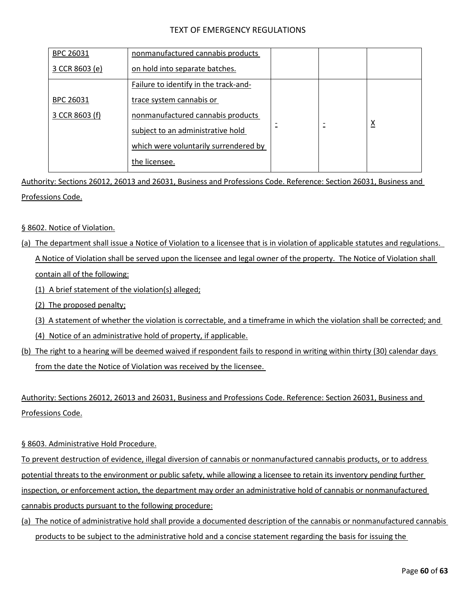| BPC 26031      | nonmanufactured cannabis products     |  |                 |
|----------------|---------------------------------------|--|-----------------|
| 3 CCR 8603 (e) | on hold into separate batches.        |  |                 |
|                | Failure to identify in the track-and- |  |                 |
| BPC 26031      | trace system cannabis or              |  |                 |
| 3 CCR 8603 (f) | nonmanufactured cannabis products     |  |                 |
|                | subject to an administrative hold     |  | $\underline{X}$ |
|                | which were voluntarily surrendered by |  |                 |
|                | the licensee.                         |  |                 |

Authority: Sections 26012, 26013 and 26031, Business and Professions Code. Reference: Section 26031, Business and Professions Code.

# <span id="page-61-0"></span>[§ 8602. Notice of Violation.](#page-0-0)

(a) The department shall issue a Notice of Violation to a licensee that is in violation of applicable statutes and regulations. A Notice of Violation shall be served upon the licensee and legal owner of the property. The Notice of Violation shall contain all of the following:

(1) A brief statement of the violation(s) alleged;

(2) The proposed penalty;

(3) A statement of whether the violation is correctable, and a timeframe in which the violation shall be corrected; and

- (4) Notice of an administrative hold of property, if applicable.
- (b) The right to a hearing will be deemed waived if respondent fails to respond in writing within thirty (30) calendar days from the date the Notice of Violation was received by the licensee.

Authority: Sections 26012, 26013 and 26031, Business and Professions Code. Reference: Section 26031, Business and Professions Code.

# <span id="page-61-1"></span>[§ 8603. Administrative Hold Procedure.](#page-0-0)

To prevent destruction of evidence, illegal diversion of cannabis or nonmanufactured cannabis products, or to address potential threats to the environment or public safety, while allowing a licensee to retain its inventory pending further inspection, or enforcement action, the department may order an administrative hold of cannabis or nonmanufactured cannabis products pursuant to the following procedure:

(a) The notice of administrative hold shall provide a documented description of the cannabis or nonmanufactured cannabis products to be subject to the administrative hold and a concise statement regarding the basis for issuing the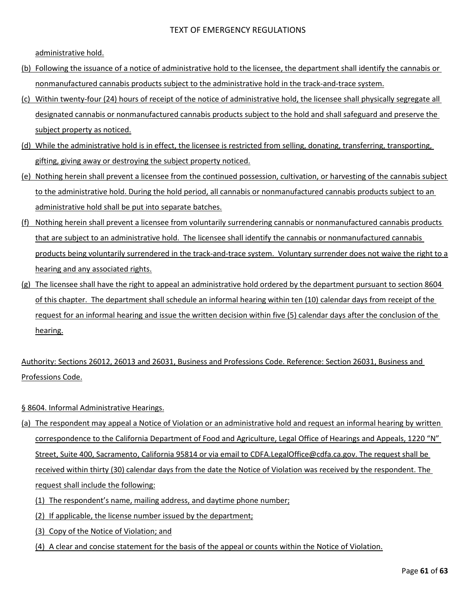administrative hold.

- (b) Following the issuance of a notice of administrative hold to the licensee, the department shall identify the cannabis or nonmanufactured cannabis products subject to the administrative hold in the track-and-trace system.
- (c) Within twenty-four (24) hours of receipt of the notice of administrative hold, the licensee shall physically segregate all designated cannabis or nonmanufactured cannabis products subject to the hold and shall safeguard and preserve the subject property as noticed.
- (d) While the administrative hold is in effect, the licensee is restricted from selling, donating, transferring, transporting, gifting, giving away or destroying the subject property noticed.
- (e) Nothing herein shall prevent a licensee from the continued possession, cultivation, or harvesting of the cannabis subject to the administrative hold. During the hold period, all cannabis or nonmanufactured cannabis products subject to an administrative hold shall be put into separate batches.
- (f) Nothing herein shall prevent a licensee from voluntarily surrendering cannabis or nonmanufactured cannabis products that are subject to an administrative hold. The licensee shall identify the cannabis or nonmanufactured cannabis products being voluntarily surrendered in the track-and-trace system. Voluntary surrender does not waive the right to a hearing and any associated rights.
- (g) The licensee shall have the right to appeal an administrative hold ordered by the department pursuant to section 8604 of this chapter. The department shall schedule an informal hearing within ten (10) calendar days from receipt of the request for an informal hearing and issue the written decision within five (5) calendar days after the conclusion of the hearing.

Authority: Sections 26012, 26013 and 26031, Business and Professions Code. Reference: Section 26031, Business and Professions Code.

<span id="page-62-0"></span>[§ 8604. Informal Administrative Hearings.](#page-0-0)

- (a) The respondent may appeal a Notice of Violation or an administrative hold and request an informal hearing by written correspondence to the California Department of Food and Agriculture, Legal Office of Hearings and Appeals, 1220 "N" Street, Suite 400, Sacramento, California 95814 or via email to CDFA.LegalOffice@cdfa.ca.gov. The request shall be received within thirty (30) calendar days from the date the Notice of Violation was received by the respondent. The request shall include the following:
	- (1) The respondent's name, mailing address, and daytime phone number;
	- (2) If applicable, the license number issued by the department;
	- (3) Copy of the Notice of Violation; and
	- (4) A clear and concise statement for the basis of the appeal or counts within the Notice of Violation.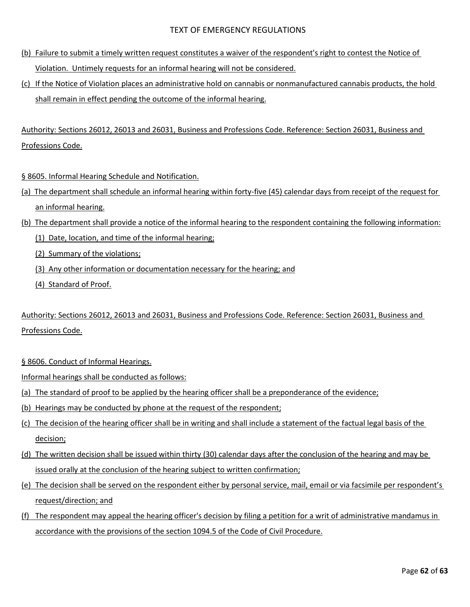- (b) Failure to submit a timely written request constitutes a waiver of the respondent's right to contest the Notice of Violation. Untimely requests for an informal hearing will not be considered.
- (c) If the Notice of Violation places an administrative hold on cannabis or nonmanufactured cannabis products, the hold shall remain in effect pending the outcome of the informal hearing.

Authority: Sections 26012, 26013 and 26031, Business and Professions Code. Reference: Section 26031, Business and Professions Code.

<span id="page-63-0"></span>[§ 8605. Informal Hearing Schedule and Notification.](#page-0-0)

- (a) The department shall schedule an informal hearing within forty-five (45) calendar days from receipt of the request for an informal hearing.
- (b) The department shall provide a notice of the informal hearing to the respondent containing the following information:
	- (1) Date, location, and time of the informal hearing;
	- (2) Summary of the violations;
	- (3) Any other information or documentation necessary for the hearing; and
	- (4) Standard of Proof.

Authority: Sections 26012, 26013 and 26031, Business and Professions Code. Reference: Section 26031, Business and Professions Code.

<span id="page-63-1"></span>[§ 8606. Conduct of Informal Hearings.](#page-0-0)

Informal hearings shall be conducted as follows:

- (a) The standard of proof to be applied by the hearing officer shall be a preponderance of the evidence;
- (b) Hearings may be conducted by phone at the request of the respondent;
- (c) The decision of the hearing officer shall be in writing and shall include a statement of the factual legal basis of the decision;
- (d) The written decision shall be issued within thirty (30) calendar days after the conclusion of the hearing and may be issued orally at the conclusion of the hearing subject to written confirmation;
- (e) The decision shall be served on the respondent either by personal service, mail, email or via facsimile per respondent's request/direction; and
- (f) The respondent may appeal the hearing officer's decision by filing a petition for a writ of administrative mandamus in accordance with the provisions of the section 1094.5 of the Code of Civil Procedure.